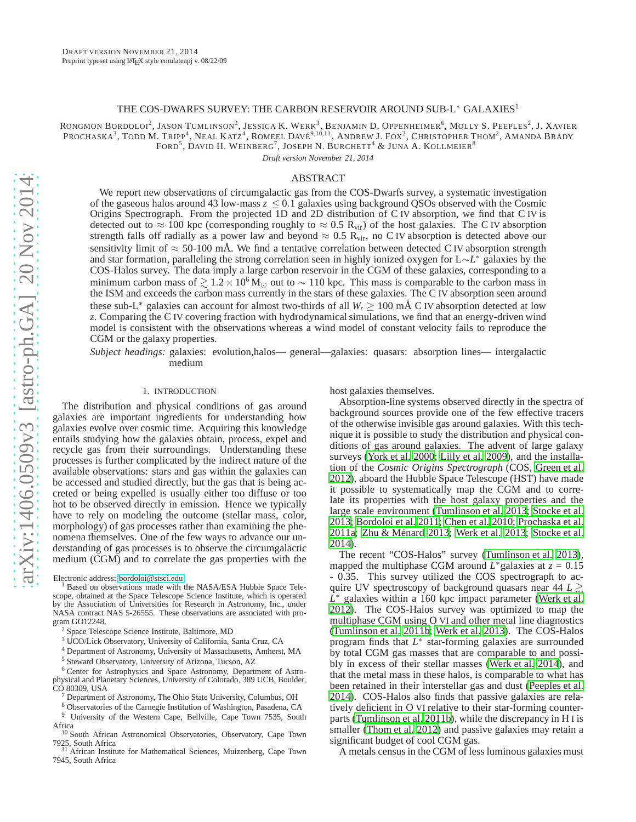## THE COS-DWARFS SURVEY: THE CARBON RESERVOIR AROUND SUB-L\* GALAXIES<sup>1</sup>

RONGMON BORDOLOI<sup>2</sup>, JASON TUMLINSON<sup>2</sup>, JESSICA K. WERK<sup>3</sup>, BENJAMIN D. OPPENHEIMER<sup>6</sup>, MOLLY S. PEEPLES<sup>2</sup>, J. XAVIER Prochaska<sup>3</sup>, Todd M. Tripp<sup>4</sup>, Neal Katz<sup>4</sup>, Romeel Davé<sup>9,10,11</sup>, Andrew J. Fox<sup>2</sup>, Christopher Thom<sup>2</sup>, Amanda Brady FORD $^5$ , David H. Weinberg $^7$ , Joseph N. Burchett $^4$  & Juna A. Kollmeier $^8$ 

*Draft version November 21, 2014*

# ABSTRACT

We report new observations of circumgalactic gas from the COS-Dwarfs survey, a systematic investigation of the gaseous halos around 43 low-mass  $z \le 0.1$  galaxies using background QSOs observed with the Cosmic Origins Spectrograph. From the projected 1D and 2D distribution of C IV absorption, we find that C IV is detected out to  $\approx 100$  kpc (corresponding roughly to  $\approx 0.5$  R<sub>vir</sub>) of the host galaxies. The C IV absorption strength falls off radially as a power law and beyond  $\approx 0.5 \text{ R}_{vir}$ , no C IV absorption is detected above our sensitivity limit of  $\approx$  50-100 mA. We find a tentative correlation between detected C IV absorption strength and star formation, paralleling the strong correlation seen in highly ionized oxygen for L∼*L* <sup>∗</sup> galaxies by the COS-Halos survey. The data imply a large carbon reservoir in the CGM of these galaxies, corresponding to a minimum carbon mass of  $\geq 1.2 \times 10^6$  M<sub>☉</sub> out to ~ 110 kpc. This mass is comparable to the carbon mass in the ISM and exceeds the carbon mass currently in the stars of these galaxies. The C IV absorption seen around these sub-L<sup>∗</sup> galaxies can account for almost two-thirds of all *W<sup>r</sup>* ≥ 100 mÅ C IV absorption detected at low *z*. Comparing the C IV covering fraction with hydrodynamical simulations, we find that an energy-driven wind model is consistent with the observations whereas a wind model of constant velocity fails to reproduce the CGM or the galaxy properties.

*Subject headings:* galaxies: evolution,halos— general—galaxies: quasars: absorption lines— intergalactic medium

## 1. INTRODUCTION

The distribution and physical conditions of gas around galaxies are important ingredients for understanding how galaxies evolve over cosmic time. Acquiring this knowledge entails studying how the galaxies obtain, process, expel and recycle gas from their surroundings. Understanding these processes is further complicated by the indirect nature of the available observations: stars and gas within the galaxies can be accessed and studied directly, but the gas that is being accreted or being expelled is usually either too diffuse or too hot to be observed directly in emission. Hence we typically have to rely on modeling the outcome (stellar mass, color, morphology) of gas processes rather than examining the phenomena themselves. One of the few ways to advance our understanding of gas processes is to observe the circumgalactic medium  $(\tilde{C}GM)$  and to correlate the gas properties with the

Electronic address: [bordoloi@stsci.edu](mailto:bordoloi@stsci.edu)

<sup>1</sup> Based on observations made with the NASA/ESA Hubble Space Telescope, obtained at the Space Telescope Science Institute, which is operated by the Association of Universities for Research in Astronomy, Inc., under NASA contract NAS 5-26555. These observations are associated with program GO12248.

<sup>4</sup> Department of Astronomy, University of Massachusetts, Amherst, MA

<sup>5</sup> Steward Observatory, University of Arizona, Tucson, AZ

<sup>6</sup> Center for Astrophysics and Space Astronomy, Department of Astrophysical and Planetary Sciences, University of Colorado, 389 UCB, Boulder,  $CO$  80309, USA

- <sup>7</sup> Department of Astronomy, The Ohio State University, Columbus, OH
- <sup>8</sup> Observatories of the Carnegie Institution of Washington, Pasadena, CA

<sup>9</sup> University of the Western Cape, Bellville, Cape Town 7535, South

host galaxies themselves.

Absorption-line systems observed directly in the spectra of background sources provide one of the few effective tracers of the otherwise invisible gas around galaxies. With this technique it is possible to study the distribution and physical conditions of gas around galaxies. The advent of large galaxy surveys [\(York et al. 2000](#page-14-0); [Lilly et al. 2009\)](#page-14-1), and the installation of the *Cosmic Origins Spectrograph* (COS, [Green et al.](#page-14-2) [2012\)](#page-14-2), aboard the Hubble Space Telescope (HST) have made it possible to systematically map the CGM and to correlate its properties with the host galaxy properties and the large scale environment [\(Tumlinson et al. 2013](#page-14-3); [Stocke et al.](#page-14-4) [2013;](#page-14-4) [Bordoloi et al. 2011;](#page-14-5) [Chen et al. 2010;](#page-14-6) [Prochaska et al.](#page-14-7) [2011a;](#page-14-7) [Zhu & Ménard 2013;](#page-14-8) [Werk et al. 2013;](#page-14-9) [Stocke et al.](#page-14-10) [2014\)](#page-14-10).

The recent "COS-Halos" survey [\(Tumlinson et al. 2013](#page-14-3)), mapped the multiphase CGM around  $L^*$  galaxies at  $z = 0.15$ - 0.35. This survey utilized the COS spectrograph to acquire UV spectroscopy of background quasars near  $44 L \gtrsim$  $\hat{L}^*$  galaxies within a 160 kpc impact parameter [\(Werk et al.](#page-14-11) [2012\)](#page-14-11). The COS-Halos survey was optimized to map the multiphase CGM using O VI and other metal line diagnostics [\(Tumlinson et al. 2011b;](#page-14-12) [Werk et al. 2013\)](#page-14-9). The COS-Halos program finds that  $L^*$  star-forming galaxies are surrounded by total CGM gas masses that are comparable to and possibly in excess of their stellar masses [\(Werk et al. 2014\)](#page-14-13), and that the metal mass in these halos, is comparable to what has been retained in their interstellar gas and dust [\(Peeples et](#page-14-14) al. [2014\)](#page-14-14). COS-Halos also finds that passive galaxies are relatively deficient in O VI relative to their star-forming counterparts [\(Tumlinson et al. 2011b\)](#page-14-12), while the discrepancy in H I is smaller [\(Thom et al. 2012\)](#page-14-15) and passive galaxies may retain a significant budget of cool CGM gas.

A metals census in the CGM of less luminous galaxies must

<sup>2</sup> Space Telescope Science Institute, Baltimore, MD

<sup>3</sup> UCO/Lick Observatory, University of California, Santa Cruz, CA

Africa <sup>10</sup> South African Astronomical Observatories, Observatory, Cape Town 7925, South Africa

<sup>&</sup>lt;sup>11</sup> African Institute for Mathematical Sciences, Muizenberg, Cape Town 7945, South Africa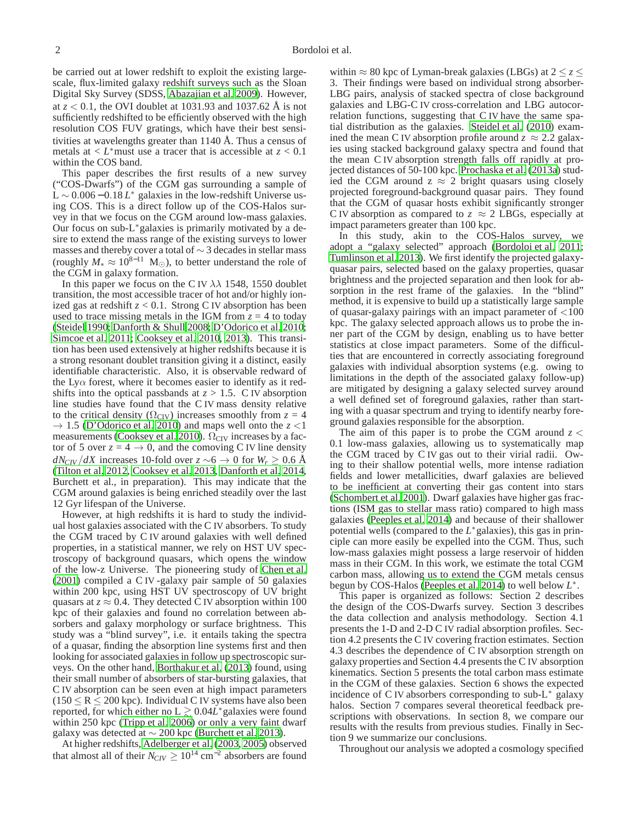be carried out at lower redshift to exploit the existing largescale, flux-limited galaxy redshift surveys such as the Sloan Digital Sky Survey (SDSS, [Abazajian et al. 2009\)](#page-14-16). However, at *z* < 0.1, the OVI doublet at 1031.93 and 1037.62 Å is not sufficiently redshifted to be efficiently observed with the high resolution COS FUV gratings, which have their best sensitivities at wavelengths greater than 1140 Å. Thus a census of metals at  $\lt L^*$  must use a tracer that is accessible at  $z \lt 0.1$ within the COS band.

This paper describes the first results of a new survey ("COS-Dwarfs") of the CGM gas surrounding a sample of L ∼ 0.006 − 0.18 *L* <sup>∗</sup> galaxies in the low-redshift Universe using COS. This is a direct follow up of the COS-Halos survey in that we focus on the CGM around low-mass galaxies. Our focus on sub-L∗galaxies is primarily motivated by a desire to extend the mass range of the existing surveys to lower masses and thereby cover a total of ∼ 3 decades in stellar mass (roughly  $M_* \approx 10^{8-11}$  M<sub>☉</sub>), to better understand the role of the CGM in galaxy formation.

In this paper we focus on the C IV  $\lambda\lambda$  1548, 1550 doublet transition, the most accessible tracer of hot and/or highly ionized gas at redshift *z* < 0.1. Strong C IV absorption has been used to trace missing metals in the IGM from  $z = 4$  to today [\(Steidel 1990;](#page-14-17) [Danforth & Shull 2008;](#page-14-18) [D'Odorico et al. 2010;](#page-14-19) [Simcoe et al. 2011;](#page-14-20) [Cooksey et al. 2010,](#page-14-21) [2013](#page-14-22)). This transition has been used extensively at higher redshifts because it is a strong resonant doublet transition giving it a distinct, easily identifiable characteristic. Also, it is observable redward of the Ly $\alpha$  forest, where it becomes easier to identify as it redshifts into the optical passbands at  $z > 1.5$ . C IV absorption line studies have found that the C IV mass density relative to the critical density ( $\Omega_{\text{CIV}}$ ) increases smoothly from  $z = 4$  $\rightarrow$  1.5 [\(D'Odorico et al. 2010](#page-14-19)) and maps well onto the  $z$  <1 measurements [\(Cooksey et al. 2010\)](#page-14-21).  $\Omega_{\text{CIV}}$  increases by a factor of 5 over  $z = 4 \rightarrow 0$ , and the comoving C IV line density *dN<sub>CIV</sub>* /*dX* increases 10-fold over  $z \sim 6 \rightarrow 0$  for  $W_r > 0.6$  Å [\(Tilton et al. 2012,](#page-14-23) [Cooksey et al. 2013](#page-14-22), [Danforth et al. 2014,](#page-14-24) Burchett et al., in preparation). This may indicate that the CGM around galaxies is being enriched steadily over the last 12 Gyr lifespan of the Universe.

However, at high redshifts it is hard to study the individual host galaxies associated with the C IV absorbers. To study the CGM traced by C IV around galaxies with well defined properties, in a statistical manner, we rely on HST UV spectroscopy of background quasars, which opens the window of the low-z Universe. The pioneering study of [Chen et al.](#page-14-25) [\(2001](#page-14-25)) compiled a C IV -galaxy pair sample of 50 galaxies within 200 kpc, using HST UV spectroscopy of UV bright quasars at  $z \approx 0.4$ . They detected C IV absorption within 100 kpc of their galaxies and found no correlation between absorbers and galaxy morphology or surface brightness. This study was a "blind survey", i.e. it entails taking the spectra of a quasar, finding the absorption line systems first and then looking for associated galaxies in follow up spectroscopic surveys. On the other hand, [Borthakur et al. \(2013\)](#page-14-26) found, using their small number of absorbers of star-bursting galaxies, that C IV absorption can be seen even at high impact parameters  $(150 \le R \le 200 \text{ kpc})$ . Individual C IV systems have also been reported, for which either no  $L \gtrsim 0.04L^*$  galaxies were found within 250 kpc [\(Tripp et al. 2006\)](#page-14-27) or only a very faint dwarf galaxy was detected at  $\sim$  200 kpc [\(Burchett et al. 2013\)](#page-14-28).

At higher redshifts, [Adelberger et al.](#page-14-29) [\(2003,](#page-14-29) [2005](#page-14-30)) observed that almost all of their  $N_{CIV} \ge 10^{14}$  cm<sup>-2</sup> absorbers are found

within  $\approx 80$  kpc of Lyman-break galaxies (LBGs) at  $2 \le z \le$ 3. Their findings were based on individual strong absorber-LBG pairs, analysis of stacked spectra of close background galaxies and LBG-C IV cross-correlation and LBG autocorrelation functions, suggesting that C IV have the same spatial distribution as the galaxies. [Steidel et al. \(2010](#page-14-31)) examined the mean C IV absorption profile around  $z \approx 2.2$  galaxies using stacked background galaxy spectra and found that the mean C IV absorption strength falls off rapidly at projected distances of 50-100 kpc. [Prochaska et al. \(2013a\)](#page-14-32) studied the CGM around  $z \approx 2$  bright quasars using closely projected foreground-background quasar pairs. They found that the CGM of quasar hosts exhibit significantly stronger C IV absorption as compared to  $z \approx 2$  LBGs, especially at impact parameters greater than 100 kpc.

In this study, akin to the COS-Halos survey, we adopt a "galaxy selected" approach [\(Bordoloi et al. 2011](#page-14-5); [Tumlinson et al. 2013](#page-14-3)). We first identify the projected galaxyquasar pairs, selected based on the galaxy properties, quasar brightness and the projected separation and then look for absorption in the rest frame of the galaxies. In the "blind" method, it is expensive to build up a statistically large sample of quasar-galaxy pairings with an impact parameter of  $\langle 100 \rangle$ kpc. The galaxy selected approach allows us to probe the inner part of the CGM by design, enabling us to have better statistics at close impact parameters. Some of the difficulties that are encountered in correctly associating foreground galaxies with individual absorption systems (e.g. owing to limitations in the depth of the associated galaxy follow-up) are mitigated by designing a galaxy selected survey around a well defined set of foreground galaxies, rather than starting with a quasar spectrum and trying to identify nearby foreground galaxies responsible for the absorption.

The aim of this paper is to probe the CGM around  $z <$ 0.1 low-mass galaxies, allowing us to systematically map the CGM traced by C IV gas out to their virial radii. Owing to their shallow potential wells, more intense radiation fields and lower metallicities, dwarf galaxies are believed to be inefficient at converting their gas content into stars [\(Schombert et al. 2001](#page-14-33)). Dwarf galaxies have higher gas fractions (ISM gas to stellar mass ratio) compared to high mass galaxies [\(Peeples et al. 2014\)](#page-14-14) and because of their shallower potential wells (compared to the  $L^*$  galaxies), this gas in principle can more easily be expelled into the CGM. Thus, such low-mass galaxies might possess a large reservoir of hidden mass in their CGM. In this work, we estimate the total CGM carbon mass, allowing us to extend the CGM metals census begun by COS-Halos [\(Peeples et al. 2014](#page-14-14)) to well below *L* ∗ .

This paper is organized as follows: Section 2 describes the design of the COS-Dwarfs survey. Section 3 describes the data collection and analysis methodology. Section 4.1 presents the 1-D and 2-D C IV radial absorption profiles. Section 4.2 presents the C IV covering fraction estimates. Section 4.3 describes the dependence of C IV absorption strength on galaxy properties and Section 4.4 presents the C IV absorption kinematics. Section 5 presents the total carbon mass estimate in the CGM of these galaxies. Section 6 shows the expected incidence of C IV absorbers corresponding to sub-L<sup>∗</sup> galaxy halos. Section 7 compares several theoretical feedback prescriptions with observations. In section 8, we compare our results with the results from previous studies. Finally in Section 9 we summarize our conclusions.

Throughout our analysis we adopted a cosmology specified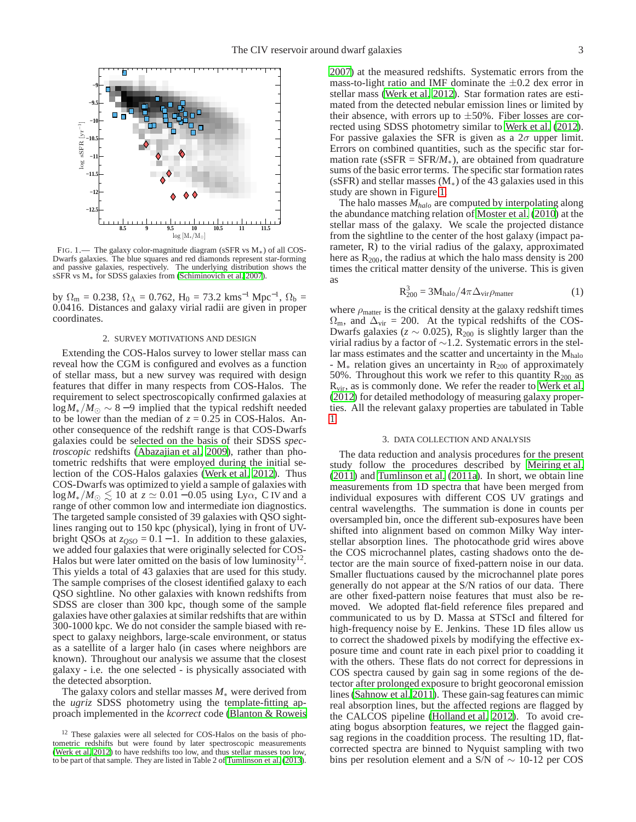

<span id="page-2-0"></span>FIG. 1.— The galaxy color-magnitude diagram (sSFR vs M∗) of all COS-Dwarfs galaxies. The blue squares and red diamonds represent star-forming and passive galaxies, respectively. The underlying distribution shows the sSFR vs M<sub>∗</sub> for SDSS galaxies from [\(Schiminovich et al. 2007](#page-14-34)).

by  $\Omega_{\rm m} = 0.238$ ,  $\Omega_{\Lambda} = 0.762$ ,  $H_0 = 73.2$  kms<sup>-1</sup> Mpc<sup>-1</sup>,  $\Omega_{\rm b} =$ 0.0416. Distances and galaxy virial radii are given in proper coordinates.

#### 2. SURVEY MOTIVATIONS AND DESIGN

Extending the COS-Halos survey to lower stellar mass can reveal how the CGM is configured and evolves as a function of stellar mass, but a new survey was required with design features that differ in many respects from COS-Halos. The requirement to select spectroscopically confirmed galaxies at  $log M_*/M_{\odot} \sim 8-9$  implied that the typical redshift needed to be lower than the median of  $z = 0.25$  in COS-Halos. Another consequence of the redshift range is that COS-Dwarfs galaxies could be selected on the basis of their SDSS *spectroscopic* redshifts [\(Abazajian et al. 2009\)](#page-14-16), rather than photometric redshifts that were employed during the initial selection of the COS-Halos galaxies [\(Werk et al. 2012\)](#page-14-11). Thus COS-Dwarfs was optimized to yield a sample of galaxies with  $log M_*/M_{\odot} \lesssim 10$  at  $z \simeq 0.01 - 0.05$  using Ly $\alpha$ , C IV and a range of other common low and intermediate ion diagnostics. The targeted sample consisted of 39 galaxies with QSO sightlines ranging out to 150 kpc (physical), lying in front of UVbright QSOs at  $z_{OSO} = 0.1 - 1$ . In addition to these galaxies, we added four galaxies that were originally selected for COS-Halos but were later omitted on the basis of low luminosity<sup>12</sup>. This yields a total of 43 galaxies that are used for this study. The sample comprises of the closest identified galaxy to each QSO sightline. No other galaxies with known redshifts from SDSS are closer than 300 kpc, though some of the sample galaxies have other galaxies at similar redshifts that are within 300-1000 kpc. We do not consider the sample biased with respect to galaxy neighbors, large-scale environment, or status as a satellite of a larger halo (in cases where neighbors are known). Throughout our analysis we assume that the closest galaxy - i.e. the one selected - is physically associated with the detected absorption.

The galaxy colors and stellar masses *M*<sup>∗</sup> were derived from the *ugriz* SDSS photometry using the template-fitting approach implemented in the *kcorrect* code [\(Blanton & Roweis](#page-14-35) [2007\)](#page-14-35) at the measured redshifts. Systematic errors from the mass-to-light ratio and IMF dominate the  $\pm 0.2$  dex error in stellar mass [\(Werk et al. 2012\)](#page-14-11). Star formation rates are estimated from the detected nebular emission lines or limited by their absence, with errors up to  $\pm 50\%$ . Fiber losses are corrected using SDSS photometry similar to [Werk et al. \(2012](#page-14-11)). For passive galaxies the SFR is given as a  $2\sigma$  upper limit. Errors on combined quantities, such as the specific star formation rate ( $sSFR = SFR/M_*$ ), are obtained from quadrature sums of the basic error terms. The specific star formation rates (sSFR) and stellar masses  $(M_*)$  of the 43 galaxies used in this study are shown in Figure [1.](#page-2-0)

The halo masses *Mhalo* are computed by interpolating along the abundance matching relation of [Moster et al. \(2010\)](#page-14-36) at the stellar mass of the galaxy. We scale the projected distance from the sightline to the center of the host galaxy (impact parameter, R) to the virial radius of the galaxy, approximated here as  $R_{200}$ , the radius at which the halo mass density is 200 times the critical matter density of the universe. This is given as

$$
R_{200}^3 = 3M_{halo} / 4\pi \Delta_{vir} \rho_{matter}
$$
 (1)

where  $\rho_{\text{matter}}$  is the critical density at the galaxy redshift times  $\Omega_{\rm m}$ , and  $\Delta_{\rm vir} = 200$ . At the typical redshifts of the COS-Dwarfs galaxies ( $z \sim 0.025$ ), R<sub>200</sub> is slightly larger than the virial radius by a factor of ∼1.2. Systematic errors in the stellar mass estimates and the scatter and uncertainty in the  $M_{halo}$  $-M_*$  relation gives an uncertainty in  $R_{200}$  of approximately 50%. Throughout this work we refer to this quantity  $R_{200}$  as R<sub>vir</sub>, as is commonly done. We refer the reader to [Werk et al.](#page-14-11) [\(2012\)](#page-14-11) for detailed methodology of measuring galaxy properties. All the relevant galaxy properties are tabulated in Table [1.](#page-15-0)

### 3. DATA COLLECTION AND ANALYSIS

The data reduction and analysis procedures for the present study follow the procedures described by [Meiring et al.](#page-14-37) [\(2011\)](#page-14-37) and [Tumlinson et al.](#page-14-38) [\(2011a\)](#page-14-38). In short, we obtain line measurements from 1D spectra that have been merged from individual exposures with different COS UV gratings and central wavelengths. The summation is done in counts per oversampled bin, once the different sub-exposures have been shifted into alignment based on common Milky Way interstellar absorption lines. The photocathode grid wires above the COS microchannel plates, casting shadows onto the detector are the main source of fixed-pattern noise in our data. Smaller fluctuations caused by the microchannel plate pores generally do not appear at the S/N ratios of our data. There are other fixed-pattern noise features that must also be removed. We adopted flat-field reference files prepared and communicated to us by D. Massa at STScI and filtered for high-frequency noise by E. Jenkins. These 1D files allow us to correct the shadowed pixels by modifying the effective exposure time and count rate in each pixel prior to coadding it with the others. These flats do not correct for depressions in COS spectra caused by gain sag in some regions of the detector after prolonged exposure to bright geocoronal emission lines [\(Sahnow et al. 2011](#page-14-39)). These gain-sag features can mimic real absorption lines, but the affected regions are flagged by the CALCOS pipeline [\(Holland et al. 2012\)](#page-14-40). To avoid creating bogus absorption features, we reject the flagged gainsag regions in the coaddition process. The resulting 1D, flatcorrected spectra are binned to Nyquist sampling with two bins per resolution element and a S/N of ∼ 10-12 per COS

<sup>&</sup>lt;sup>12</sup> These galaxies were all selected for COS-Halos on the basis of photometric redshifts but were found by later spectroscopic measurements [\(Werk et al. 2012](#page-14-11)) to have redshifts too low, and thus stellar masses too low, to be part of that sample. They are listed in Table 2 of [Tumlinson et al. \(2013](#page-14-3)).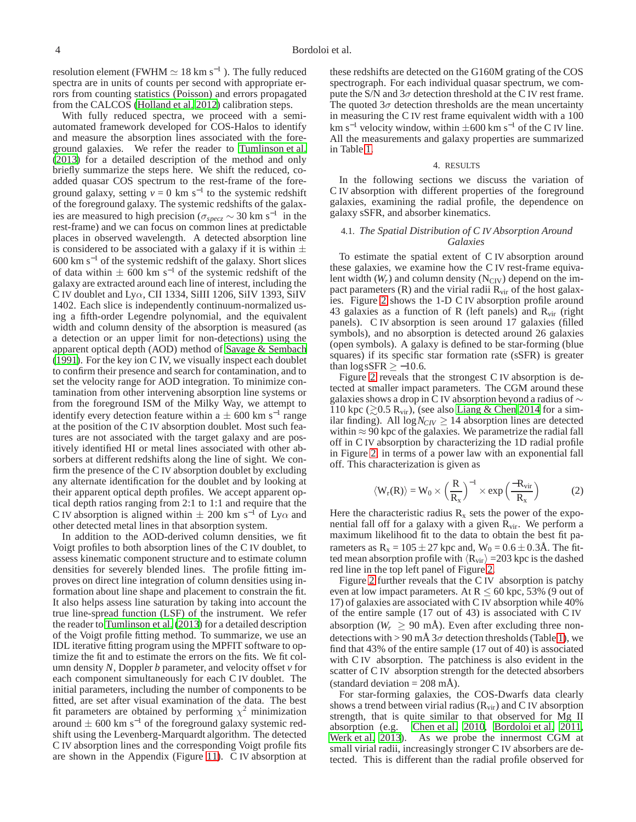resolution element (FWHM  $\simeq 18$  km s<sup>-1</sup>). The fully reduced spectra are in units of counts per second with appropriate errors from counting statistics (Poisson) and errors propagated from the CALCOS [\(Holland et al. 2012\)](#page-14-40) calibration steps.

With fully reduced spectra, we proceed with a semiautomated framework developed for COS-Halos to identify and measure the absorption lines associated with the foreground galaxies. We refer the reader to [Tumlinson et al.](#page-14-3) [\(2013](#page-14-3)) for a detailed description of the method and only briefly summarize the steps here. We shift the reduced, coadded quasar COS spectrum to the rest-frame of the foreground galaxy, setting  $v = 0$  km s<sup>-1</sup> to the systemic redshift of the foreground galaxy. The systemic redshifts of the galaxies are measured to high precision ( $\sigma_{specz} \sim 30 \text{ km s}^{-1}$  in the rest-frame) and we can focus on common lines at predictable places in observed wavelength. A detected absorption line is considered to be associated with a galaxy if it is within  $\pm$ 600 km s<sup> $-1$ </sup> of the systemic redshift of the galaxy. Short slices of data within  $\pm$  600 km s<sup>-1</sup> of the systemic redshift of the galaxy are extracted around each line of interest, including the C IV doublet and Ly $\alpha$ , CII 1334, SiIII 1206, SiIV 1393, SiIV 1402. Each slice is independently continuum-normalized using a fifth-order Legendre polynomial, and the equivalent width and column density of the absorption is measured (as a detection or an upper limit for non-detections) using the apparent optical depth (AOD) method of [Savage & Sembach](#page-14-41) [\(1991](#page-14-41)). For the key ion C IV, we visually inspect each doublet to confirm their presence and search for contamination, and to set the velocity range for AOD integration. To minimize contamination from other intervening absorption line systems or from the foreground ISM of the Milky Way, we attempt to identify every detection feature within a  $\pm$  600 km s<sup>-1</sup> range at the position of the C IV absorption doublet. Most such features are not associated with the target galaxy and are positively identified HI or metal lines associated with other absorbers at different redshifts along the line of sight. We confirm the presence of the C IV absorption doublet by excluding any alternate identification for the doublet and by looking at their apparent optical depth profiles. We accept apparent optical depth ratios ranging from 2:1 to 1:1 and require that the C IV absorption is aligned within  $\pm 200$  km s<sup>-1</sup> of Ly $\alpha$  and other detected metal lines in that absorption system.

In addition to the AOD-derived column densities, we fit Voigt profiles to both absorption lines of the C IV doublet, to assess kinematic component structure and to estimate column densities for severely blended lines. The profile fitting improves on direct line integration of column densities using information about line shape and placement to constrain the fit. It also helps assess line saturation by taking into account the true line-spread function (LSF) of the instrument. We refer the reader to [Tumlinson et al.](#page-14-3) [\(2013\)](#page-14-3) for a detailed description of the Voigt profile fitting method. To summarize, we use an IDL iterative fitting program using the MPFIT software to optimize the fit and to estimate the errors on the fits. We fit column density *N*, Doppler *b* parameter, and velocity offset *v* for each component simultaneously for each C IV doublet. The initial parameters, including the number of components to be fitted, are set after visual examination of the data. The best fit parameters are obtained by performing  $\chi^2$  minimization around  $\pm$  600 km s<sup>-1</sup> of the foreground galaxy systemic redshift using the Levenberg-Marquardt algorithm. The detected C IV absorption lines and the corresponding Voigt profile fits are shown in the Appendix (Figure [11\)](#page-17-0). C IV absorption at

these redshifts are detected on the G160M grating of the COS spectrograph. For each individual quasar spectrum, we compute the S/N and  $3\sigma$  detection threshold at the C IV rest frame. The quoted  $3\sigma$  detection thresholds are the mean uncertainty in measuring the C IV rest frame equivalent width with a 100 km s<sup>-1</sup> velocity window, within  $\pm 600$  km s<sup>-1</sup> of the C IV line. All the measurements and galaxy properties are summarized in Table [1.](#page-15-0)

## 4. RESULTS

In the following sections we discuss the variation of C IV absorption with different properties of the foreground galaxies, examining the radial profile, the dependence on galaxy sSFR, and absorber kinematics.

## 4.1. *The Spatial Distribution of C IV Absorption Around Galaxies*

To estimate the spatial extent of C IV absorption around these galaxies, we examine how the C IV rest-frame equivalent width  $(W_r)$  and column density  $(N_{\text{CIV}})$  depend on the impact parameters  $(R)$  and the virial radii  $R_{vir}$  of the host galaxies. Figure [2](#page-4-0) shows the 1-D C IV absorption profile around 43 galaxies as a function of R (left panels) and  $R_{vir}$  (right panels). C IV absorption is seen around 17 galaxies (filled symbols), and no absorption is detected around 26 galaxies (open symbols). A galaxy is defined to be star-forming (blue squares) if its specific star formation rate (sSFR) is greater than  $\log$  sSFR  $\ge$  -10.6.

Figure [2](#page-4-0) reveals that the strongest C IV absorption is detected at smaller impact parameters. The CGM around these galaxies shows a drop in C IV absorption beyond a radius of  $\sim$ 110 kpc ( $\gtrsim$ 0.5 R<sub>vir</sub>), (see also [Liang & Chen 2014](#page-14-42) for a similar finding). All  $\log N_{CIV} \geq 14$  absorption lines are detected within  $\approx$  90 kpc of the galaxies. We parametrize the radial fall off in C IV absorption by characterizing the 1D radial profile in Figure [2,](#page-4-0) in terms of a power law with an exponential fall off. This characterization is given as

<span id="page-3-0"></span>
$$
\langle W_{r}(R) \rangle = W_{0} \times \left(\frac{R}{R_{x}}\right)^{-1} \times \exp\left(\frac{-R_{vir}}{R_{x}}\right)
$$
 (2)

Here the characteristic radius  $R_x$  sets the power of the exponential fall off for a galaxy with a given  $R_{\rm vir}$ . We perform a maximum likelihood fit to the data to obtain the best fit parameters as  $R_x = 105 \pm 27$  kpc and,  $W_0 = 0.6 \pm 0.3$ Å. The fitted mean absorption profile with  $\langle R_{\rm vir} \rangle = 203$  kpc is the dashed red line in the top left panel of Figure [2.](#page-4-0)

Figure [2](#page-4-0) further reveals that the C IV absorption is patchy even at low impact parameters. At  $R \le 60$  kpc, 53% (9 out of 17) of galaxies are associated with C IV absorption while 40% of the entire sample (17 out of 43) is associated with C IV absorption ( $W_r \geq 90$  mÅ). Even after excluding three nondetections with > 90 mÅ  $3\sigma$  detection thresholds (Table [1\)](#page-15-0), we find that 43% of the entire sample (17 out of 40) is associated with C IV absorption. The patchiness is also evident in the scatter of C IV absorption strength for the detected absorbers (standard deviation  $= 208$  mÅ).

For star-forming galaxies, the COS-Dwarfs data clearly shows a trend between virial radius  $(R_{\rm vir})$  and C IV absorption strength, that is quite similar to that observed for Mg II absorption (e.g. [Chen et al. 2010,](#page-14-6) [Bordoloi et al. 2011,](#page-14-5) [Werk et al. 2013\)](#page-14-9). As we probe the innermost CGM at small virial radii, increasingly stronger C IV absorbers are detected. This is different than the radial profile observed for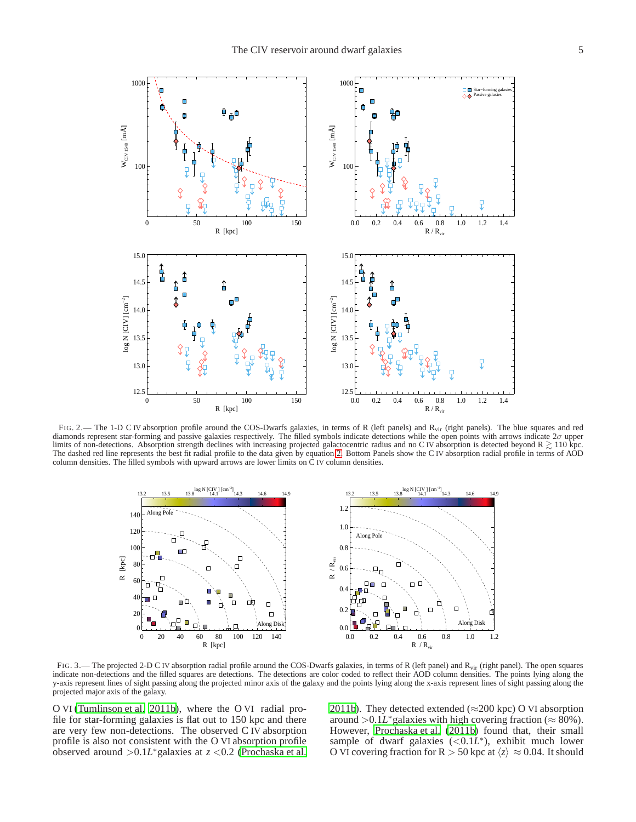

<span id="page-4-0"></span>FIG. 2.— The 1-D C IV absorption profile around the COS-Dwarfs galaxies, in terms of R (left panels) and R<sub>vir</sub> (right panels). The blue squares and red diamonds represent star-forming and passive galaxies respectively. T limits of non-detections. Absorption strength declines with increasing projected galactocentric radius and no C IV absorption is detected beyond  $R \gtrsim 110$  kpc. The dashed red line represents the best fit radial profile to the data given by equation [2.](#page-3-0) Bottom Panels show the C IV absorption radial profile in terms of AOD column densities. The filled symbols with upward arrows are lower limits on C IV column densities.



<span id="page-4-1"></span>FIG. 3.— The projected 2-D C IV absorption radial profile around the COS-Dwarfs galaxies, in terms of R (left panel) and  $R_{vir}$  (right panel). The open squares indicate non-detections and the filled squares are detections. The detections are color coded to reflect their AOD column densities. The points lying along the y-axis represent lines of sight passing along the projected minor axis of the galaxy and the points lying along the x-axis represent lines of sight passing along the projected major axis of the galaxy.

O VI [\(Tumlinson et al. 2011b](#page-14-12)), where the O VI radial profile for star-forming galaxies is flat out to 150 kpc and there are very few non-detections. The observed C IV absorption profile is also not consistent with the O VI absorption profile observed around >0.1*L* <sup>∗</sup>galaxies at *z* <0.2 [\(Prochaska et al.](#page-14-43)

[2011b\)](#page-14-43). They detected extended ( $\approx$ 200 kpc) O VI absorption around >0.1L<sup>\*</sup>galaxies with high covering fraction ( $\approx$  80%). However, [Prochaska et al. \(2011b\)](#page-14-43) found that, their small sample of dwarf galaxies (<0.1L<sup>\*</sup>), exhibit much lower O VI covering fraction for R  $>$  50 kpc at  $\langle z \rangle \approx 0.04$ . It should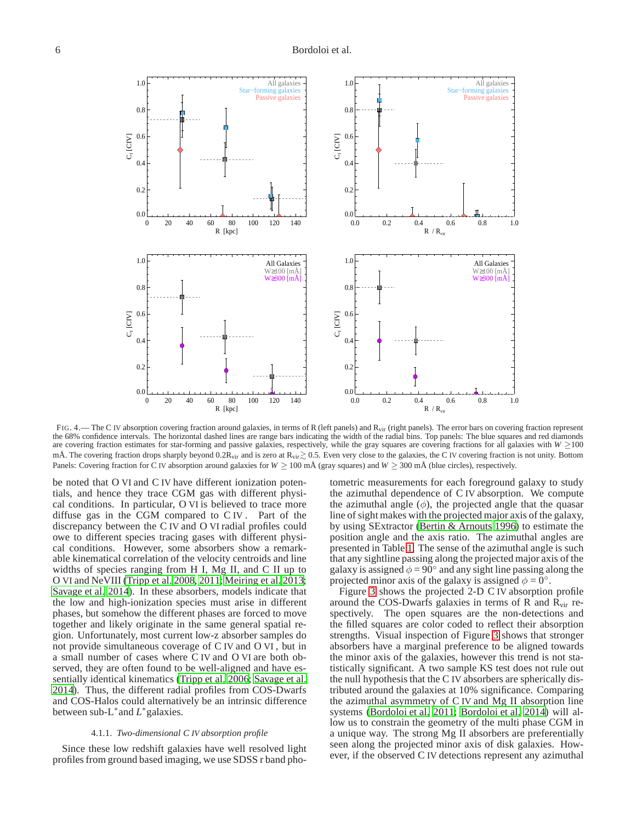

<span id="page-5-0"></span>FIG. 4.— The C IV absorption covering fraction around galaxies, in terms of R (left panels) and R<sub>vir</sub> (right panels). The error bars on covering fraction represent the 68% confidence intervals. The horizontal dashed lines are range bars indicating the width of the radial bins. Top panels: The blue squares and red diamonds are covering fraction estimates for star-forming and passive galaxies, respectively, while the gray squares are covering fractions for all galaxies with *W* ≥100 mÅ. The covering fraction drops sharply beyond 0.2 $R_{vir}$  and is zero at  $R_{vir} \gtrsim 0.5$ . Even very close to the galaxies, the C IV covering fraction is not unity. Bottom Panels: Covering fraction for C IV absorption around galaxies for *W* ≥ 100 mÅ (gray squares) and *W* ≥ 300 mÅ (blue circles), respectively.

be noted that O VI and C IV have different ionization potentials, and hence they trace CGM gas with different physical conditions. In particular, O VI is believed to trace more diffuse gas in the CGM compared to C IV . Part of the discrepancy between the C IV and O VI radial profiles could owe to different species tracing gases with different physical conditions. However, some absorbers show a remarkable kinematical correlation of the velocity centroids and line widths of species ranging from H I, Mg II, and C II up to O VI and NeVIII [\(Tripp et al. 2008,](#page-14-44) [2011;](#page-14-45) [Meiring et al. 2013;](#page-14-46) [Savage et al. 2014\)](#page-14-47). In these absorbers, models indicate that the low and high-ionization species must arise in different phases, but somehow the different phases are forced to move together and likely originate in the same general spatial region. Unfortunately, most current low-z absorber samples do not provide simultaneous coverage of C IV and O VI , but in a small number of cases where C IV and O VI are both observed, they are often found to be well-aligned and have essentially identical kinematics [\(Tripp et al. 2006;](#page-14-27) [Savage et al.](#page-14-47) [2014\)](#page-14-47). Thus, the different radial profiles from COS-Dwarfs and COS-Halos could alternatively be an intrinsic difference between sub-L<sup>\*</sup>and L<sup>\*</sup>galaxies.

#### 4.1.1. *Two-dimensional C IV absorption profile*

Since these low redshift galaxies have well resolved light profiles from ground based imaging, we use SDSS r band photometric measurements for each foreground galaxy to study the azimuthal dependence of C IV absorption. We compute the azimuthal angle  $(\phi)$ , the projected angle that the quasar line of sight makes with the projected major axis of the galaxy, by using SExtractor [\(Bertin & Arnouts 1996\)](#page-14-48) to estimate the position angle and the axis ratio. The azimuthal angles are presented in Table [1.](#page-15-0) The sense of the azimuthal angle is such that any sightline passing along the projected major axis of the galaxy is assigned  $\phi = 90^\circ$  and any sight line passing along the projected minor axis of the galaxy is assigned  $\phi = \overline{0}^\circ$ .

Figure [3](#page-4-1) shows the projected 2-D C IV absorption profile around the COS-Dwarfs galaxies in terms of R and  $R_{\rm vir}$  respectively. The open squares are the non-detections and the filled squares are color coded to reflect their absorption strengths. Visual inspection of Figure [3](#page-4-1) shows that stronger absorbers have a marginal preference to be aligned towards the minor axis of the galaxies, however this trend is not statistically significant. A two sample KS test does not rule out the null hypothesis that the C IV absorbers are spherically distributed around the galaxies at 10% significance. Comparing the azimuthal asymmetry of C IV and Mg II absorption line systems [\(Bordoloi et al. 2011;](#page-14-5) [Bordoloi et al. 2014](#page-14-49)) will allow us to constrain the geometry of the multi phase CGM in a unique way. The strong Mg II absorbers are preferentially seen along the projected minor axis of disk galaxies. However, if the observed C IV detections represent any azimuthal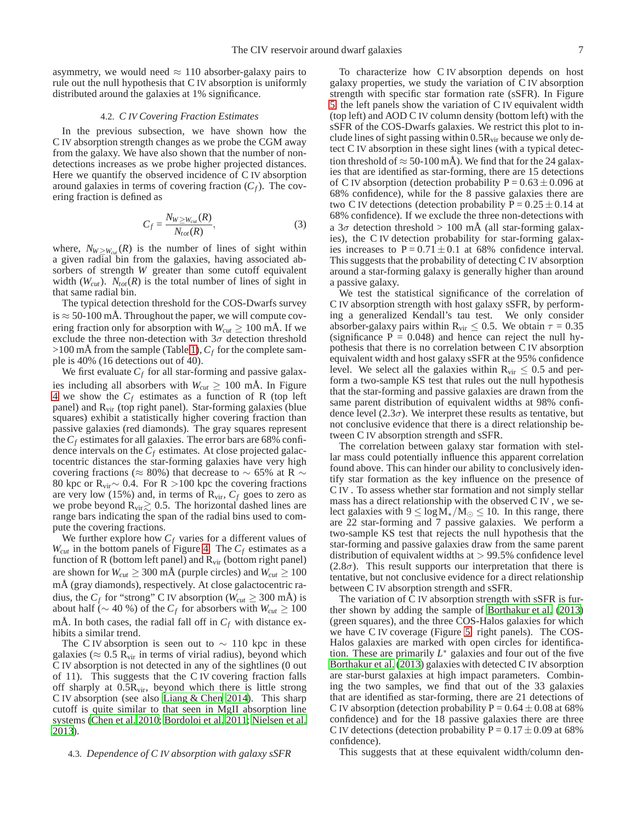asymmetry, we would need  $\approx 110$  absorber-galaxy pairs to rule out the null hypothesis that C IV absorption is uniformly distributed around the galaxies at 1% significance.

### 4.2. *C IV Covering Fraction Estimates*

In the previous subsection, we have shown how the C IV absorption strength changes as we probe the CGM away from the galaxy. We have also shown that the number of nondetections increases as we probe higher projected distances. Here we quantify the observed incidence of C IV absorption around galaxies in terms of covering fraction  $(C_f)$ . The covering fraction is defined as

$$
C_f = \frac{N_{W \ge W_{cut}}(R)}{N_{tot}(R)},
$$
\n(3)

where,  $N_{W>W_{cut}}(R)$  is the number of lines of sight within a given radial bin from the galaxies, having associated absorbers of strength *W* greater than some cutoff equivalent width  $(W_{cut})$ .  $N_{tot}(R)$  is the total number of lines of sight in that same radial bin.

The typical detection threshold for the COS-Dwarfs survey is  $\approx$  50-100 mÅ. Throughout the paper, we will compute covering fraction only for absorption with  $W_{cut} \geq 100$  mÅ. If we exclude the three non-detection with  $3\sigma$  detection threshold >100 mÅ from the sample (Table [1\)](#page-15-0),*C<sup>f</sup>* for the complete sample is 40% (16 detections out of 40).

We first evaluate  $C_f$  for all star-forming and passive galaxies including all absorbers with  $W_{cut} \geq 100$  mÅ. In Figure [4](#page-5-0) we show the *C<sup>f</sup>* estimates as a function of R (top left panel) and  $R_{\rm vir}$  (top right panel). Star-forming galaxies (blue squares) exhibit a statistically higher covering fraction than passive galaxies (red diamonds). The gray squares represent the  $C_f$  estimates for all galaxies. The error bars are 68% confidence intervals on the *C<sup>f</sup>* estimates. At close projected galactocentric distances the star-forming galaxies have very high covering fractions (≈ 80%) that decrease to  $\sim$  65% at R  $\sim$ 80 kpc or R<sub>vir</sub> ∼ 0.4. For R > 100 kpc the covering fractions are very low (15%) and, in terms of  $R_{\text{vir}}$ ,  $C_f$  goes to zero as we probe beyond  $R_{\text{vir}} \geq 0.5$ . The horizontal dashed lines are range bars indicating the span of the radial bins used to compute the covering fractions.

We further explore how  $C_f$  varies for a different values of  $W_{cut}$  in the bottom panels of Figure [4.](#page-5-0) The  $C_f$  estimates as a function of R (bottom left panel) and  $R_{\rm vir}$  (bottom right panel) are shown for  $W_{cut} \geq 300$  mÅ (purple circles) and  $W_{cut} \geq 100$ mÅ (gray diamonds), respectively. At close galactocentric radius, the  $C_f$  for "strong" C IV absorption ( $W_{cut} \geq 300$  mÅ) is about half ( $\sim$  40 %) of the *C<sub>f</sub>* for absorbers with *W*<sub>*cut*</sub> ≥ 100 mÅ. In both cases, the radial fall off in  $C_f$  with distance exhibits a similar trend.

The C IV absorption is seen out to  $\sim$  110 kpc in these galaxies ( $\approx 0.5$  R<sub>vir</sub> in terms of virial radius), beyond which C IV absorption is not detected in any of the sightlines (0 out of 11). This suggests that the C IV covering fraction falls off sharply at  $0.5R_{\text{vir}}$ , beyond which there is little strong C IV absorption (see also [Liang & Chen 2014\)](#page-14-42). This sharp cutoff is quite similar to that seen in MgII absorption line systems [\(Chen et al. 2010](#page-14-6); [Bordoloi et al. 2011;](#page-14-5) [Nielsen et al.](#page-14-50) [2013\)](#page-14-50).

## 4.3. *Dependence of C IV absorption with galaxy sSFR*

To characterize how C IV absorption depends on host galaxy properties, we study the variation of C IV absorption strength with specific star formation rate (sSFR). In Figure [5,](#page-7-0) the left panels show the variation of C IV equivalent width (top left) and AOD C IV column density (bottom left) with the sSFR of the COS-Dwarfs galaxies. We restrict this plot to include lines of sight passing within  $0.5R_{vir}$  because we only detect C IV absorption in these sight lines (with a typical detection threshold of  $\approx$  50-100 mÅ). We find that for the 24 galaxies that are identified as star-forming, there are 15 detections of C IV absorption (detection probability  $P = 0.63 \pm 0.096$  at 68% confidence), while for the 8 passive galaxies there are two C IV detections (detection probability  $P = 0.25 \pm 0.14$  at 68% confidence). If we exclude the three non-detections with a  $3\sigma$  detection threshold > 100 mÅ (all star-forming galaxies), the C IV detection probability for star-forming galaxies increases to  $P = 0.71 \pm 0.1$  at 68% confidence interval. This suggests that the probability of detecting C IV absorption around a star-forming galaxy is generally higher than around a passive galaxy.

We test the statistical significance of the correlation of C IV absorption strength with host galaxy sSFR, by performing a generalized Kendall's tau test. We only consider absorber-galaxy pairs within R<sub>vir</sub>  $\leq$  0.5. We obtain  $\tau$  = 0.35 (significance  $P = 0.048$ ) and hence can reject the null hypothesis that there is no correlation between C IV absorption equivalent width and host galaxy sSFR at the 95% confidence level. We select all the galaxies within  $R_{\rm vir} \leq 0.5$  and perform a two-sample KS test that rules out the null hypothesis that the star-forming and passive galaxies are drawn from the same parent distribution of equivalent widths at 98% confidence level (2.3 $\sigma$ ). We interpret these results as tentative, but not conclusive evidence that there is a direct relationship between C IV absorption strength and sSFR.

The correlation between galaxy star formation with stellar mass could potentially influence this apparent correlation found above. This can hinder our ability to conclusively identify star formation as the key influence on the presence of C IV . To assess whether star formation and not simply stellar mass has a direct relationship with the observed C IV , we select galaxies with  $9 \le \log M_*/M_{\odot} \le 10$ . In this range, there are 22 star-forming and 7 passive galaxies. We perform a two-sample KS test that rejects the null hypothesis that the star-forming and passive galaxies draw from the same parent distribution of equivalent widths at  $> 99.5\%$  confidence level  $(2.8\sigma)$ . This result supports our interpretation that there is tentative, but not conclusive evidence for a direct relationship between C IV absorption strength and sSFR.

The variation of C IV absorption strength with sSFR is further shown by adding the sample of [Borthakur et al.](#page-14-26) [\(2013\)](#page-14-26) (green squares), and the three COS-Halos galaxies for which we have C IV coverage (Figure [5,](#page-7-0) right panels). The COS-Halos galaxies are marked with open circles for identification. These are primarily  $L^*$  galaxies and four out of the five [Borthakur et al. \(2013\)](#page-14-26) galaxies with detected C IV absorption are star-burst galaxies at high impact parameters. Combining the two samples, we find that out of the 33 galaxies that are identified as star-forming, there are 21 detections of C IV absorption (detection probability  $P = 0.64 \pm 0.08$  at 68% confidence) and for the 18 passive galaxies there are three C IV detections (detection probability  $P = 0.17 \pm 0.09$  at 68% confidence).

This suggests that at these equivalent width/column den-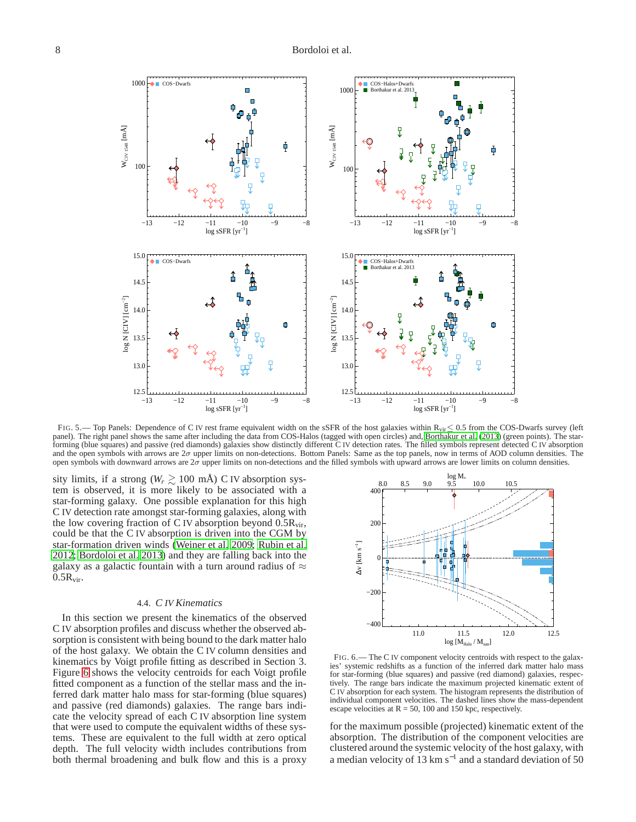

<span id="page-7-0"></span>FIG. 5.— Top Panels: Dependence of C IV rest frame equivalent width on the sSFR of the host galaxies within R<sub>vir</sub>≤ 0.5 from the COS-Dwarfs survey (left panel). The right panel shows the same after including the data from COS-Halos (tagged with open circles) and, [Borthakur](#page-14-26) et al. [\(2013\)](#page-14-26) (green points). The starforming (blue squares) and passive (red diamonds) galaxies show distinctly different C IV detection rates. The filled symbols represent detected C IV absorption and the open symbols with arrows are  $2\sigma$  upper limits on non-detections. Bottom Panels: Same as the top panels, now in terms of AOD column densities. The open symbols with downward arrows are  $2\sigma$  upper limits on non-detections and the filled symbols with upward arrows are lower limits on column densities.

sity limits, if a strong ( $W_r \gtrsim 100$  mÅ) C IV absorption system is observed, it is more likely to be associated with a star-forming galaxy. One possible explanation for this high C IV detection rate amongst star-forming galaxies, along with the low covering fraction of C IV absorption beyond  $0.5R_{vir}$ , could be that the C IV absorption is driven into the CGM by star-formation driven winds [\(Weiner et al. 2009;](#page-14-51) [Rubin et al.](#page-14-52) [2012;](#page-14-52) [Bordoloi et al. 2013](#page-14-53)) and they are falling back into the galaxy as a galactic fountain with a turn around radius of  $\approx$  $0.5R_{\rm vir}$ .

#### 4.4. *C IV Kinematics*

In this section we present the kinematics of the observed C IV absorption profiles and discuss whether the observed absorption is consistent with being bound to the dark matter halo of the host galaxy. We obtain the C IV column densities and kinematics by Voigt profile fitting as described in Section 3. Figure [6](#page-7-1) shows the velocity centroids for each Voigt profile fitted component as a function of the stellar mass and the inferred dark matter halo mass for star-forming (blue squares) and passive (red diamonds) galaxies. The range bars indicate the velocity spread of each C IV absorption line system that were used to compute the equivalent widths of these systems. These are equivalent to the full width at zero optical depth. The full velocity width includes contributions from both thermal broadening and bulk flow and this is a proxy



<span id="page-7-1"></span>FIG. 6.— The C IV component velocity centroids with respect to the galaxies' systemic redshifts as a function of the inferred dark matter halo mass for star-forming (blue squares) and passive (red diamond) galaxies, respectively. The range bars indicate the maximum projected kinematic extent of C IV absorption for each system. The histogram represents the distribution of individual component velocities. The dashed lines show the mass-dependent escape velocities at  $R = 50$ , 100 and 150 kpc, respectively.

for the maximum possible (projected) kinematic extent of the absorption. The distribution of the component velocities are clustered around the systemic velocity of the host galaxy, with a median velocity of 13  $km s^{-1}$  and a standard deviation of 50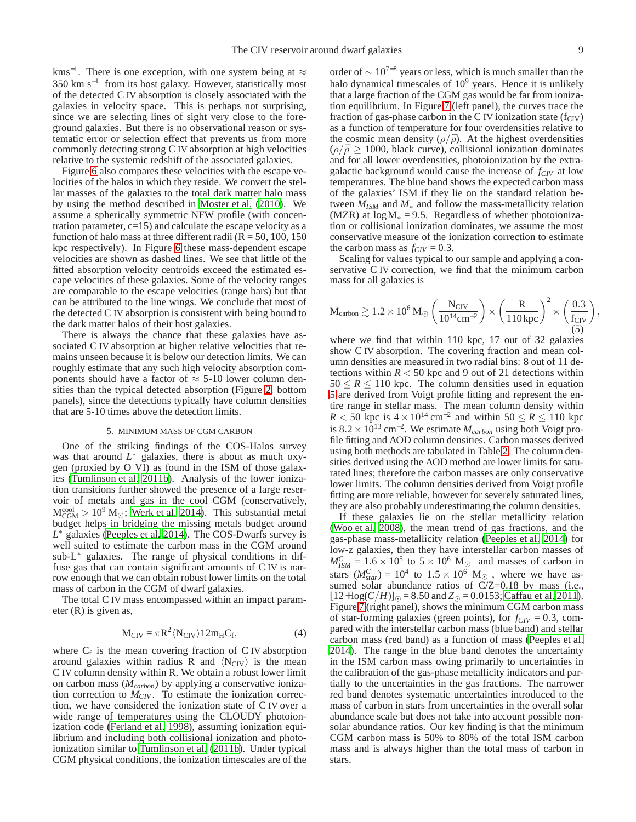kms<sup>-1</sup>. There is one exception, with one system being at  $\approx$ 350 km s−<sup>1</sup> from its host galaxy. However, statistically most of the detected C IV absorption is closely associated with the galaxies in velocity space. This is perhaps not surprising, since we are selecting lines of sight very close to the foreground galaxies. But there is no observational reason or systematic error or selection effect that prevents us from more commonly detecting strong C IV absorption at high velocities relative to the systemic redshift of the associated galaxies.

Figure [6](#page-7-1) also compares these velocities with the escape velocities of the halos in which they reside. We convert the stellar masses of the galaxies to the total dark matter halo mass by using the method described in [Moster et al.](#page-14-36) [\(2010\)](#page-14-36). We assume a spherically symmetric NFW profile (with concentration parameter, c=15) and calculate the escape velocity as a function of halo mass at three different radii ( $R = 50, 100, 150$ kpc respectively). In Figure [6](#page-7-1) these mass-dependent escape velocities are shown as dashed lines. We see that little of the fitted absorption velocity centroids exceed the estimated escape velocities of these galaxies. Some of the velocity ranges are comparable to the escape velocities (range bars) but that can be attributed to the line wings. We conclude that most of the detected C IV absorption is consistent with being bound to the dark matter halos of their host galaxies.

There is always the chance that these galaxies have associated C IV absorption at higher relative velocities that remains unseen because it is below our detection limits. We can roughly estimate that any such high velocity absorption components should have a factor of  $\approx$  5-10 lower column densities than the typical detected absorption (Figure [2,](#page-4-0) bottom panels), since the detections typically have column densities that are 5-10 times above the detection limits.

### 5. MINIMUM MASS OF CGM CARBON

One of the striking findings of the COS-Halos survey was that around  $L^*$  galaxies, there is about as much oxygen (proxied by O VI) as found in the ISM of those galaxies [\(Tumlinson et al. 2011b](#page-14-12)). Analysis of the lower ionization transitions further showed the presence of a large reservoir of metals and gas in the cool CGM (conservatively,  $M_{CGM}^{cool} > 10^9$  M<sub>☉</sub>; [Werk et al. 2014\)](#page-14-13). This substantial metal budget helps in bridging the missing metals budget around *L* <sup>∗</sup> galaxies [\(Peeples et al. 2014](#page-14-14)). The COS-Dwarfs survey is well suited to estimate the carbon mass in the CGM around sub-L<sup>∗</sup> galaxies. The range of physical conditions in diffuse gas that can contain significant amounts of C IV is narrow enough that we can obtain robust lower limits on the total mass of carbon in the CGM of dwarf galaxies.

The total C IV mass encompassed within an impact parameter (R) is given as,

$$
M_{CIV} = \pi R^2 \langle N_{CIV} \rangle 12 m_H C_f, \qquad (4)
$$

where  $C_f$  is the mean covering fraction of C IV absorption around galaxies within radius R and  $\langle N_{\text{CIV}}\rangle$  is the mean C IV column density within R. We obtain a robust lower limit on carbon mass (*Mcarbon*) by applying a conservative ionization correction to *MCIV* . To estimate the ionization correction, we have considered the ionization state of C IV over a wide range of temperatures using the CLOUDY photoionization code [\(Ferland et al. 1998\)](#page-14-54), assuming ionization equilibrium and including both collisional ionization and photoionization similar to [Tumlinson et al. \(2011b\)](#page-14-12). Under typical CGM physical conditions, the ionization timescales are of the

order of  $\sim 10^{7-8}$  years or less, which is much smaller than the halo dynamical timescales of  $10<sup>9</sup>$  years. Hence it is unlikely that a large fraction of the CGM gas would be far from ionization equilibrium. In Figure [7](#page-9-0) (left panel), the curves trace the fraction of gas-phase carbon in the C IV ionization state  $(f_{CIV})$ as a function of temperature for four overdensities relative to the cosmic mean density  $(\rho/\bar{\rho})$ . At the highest overdensities  $(\rho/\bar{\rho} \ge 1000$ , black curve), collisional ionization dominates and for all lower overdensities, photoionization by the extragalactic background would cause the increase of *fCIV* at low temperatures. The blue band shows the expected carbon mass of the galaxies' ISM if they lie on the standard relation between  $M_{ISM}$  and  $M_*$  and follow the mass-metallicity relation (MZR) at  $log M<sub>*</sub> = 9.5$ . Regardless of whether photoionization or collisional ionization dominates, we assume the most conservative measure of the ionization correction to estimate the carbon mass as  $f_{CIV} = 0.3$ .

Scaling for values typical to our sample and applying a conservative C IV correction, we find that the minimum carbon mass for all galaxies is

<span id="page-8-0"></span>
$$
M_{carbon} \gtrsim 1.2 \times 10^6 \, M_\odot \left( \frac{N_{CIV}}{10^{14} cm^{-2}} \right) \times \left( \frac{R}{110 \, kpc} \right)^2 \times \left( \frac{0.3}{f_{CIV}} \right), \nonumber \\ \left. \frac{N_{CIV}}{\left( 5 \right)} \right) \times \left( \frac{N_{CIV}}{10 \, kpc} \right)^2 \times \left( \frac{0.3}{f_{CIV}} \right), \nonumber
$$

where we find that within 110 kpc, 17 out of 32 galaxies show C IV absorption. The covering fraction and mean column densities are measured in two radial bins: 8 out of 11 detections within  $R < 50$  kpc and 9 out of 21 detections within  $50 \le R \le 110$  kpc. The column densities used in equation [5](#page-8-0) are derived from Voigt profile fitting and represent the entire range in stellar mass. The mean column density within  $R < 50$  kpc is  $4 \times 10^{14}$  cm<sup>-2</sup> and within  $50 \le R \le 110$  kpc is  $8.2 \times 10^{13}$  cm<sup>-2</sup>. We estimate  $M_{carbon}$  using both Voigt profile fitting and AOD column densities. Carbon masses derived using both methods are tabulated in Table [2.](#page-15-1) The column densities derived using the AOD method are lower limits for saturated lines; therefore the carbon masses are only conservative lower limits. The column densities derived from Voigt profile fitting are more reliable, however for severely saturated lines, they are also probably underestimating the column densities.

If these galaxies lie on the stellar metallicity relation [\(Woo et al. 2008](#page-14-55)), the mean trend of gas fractions, and the gas-phase mass-metallicity relation [\(Peeples et al. 2014\)](#page-14-14) for low-z galaxies, then they have interstellar carbon masses of  $M_{ISM}^C = 1.6 \times 10^5$  to  $5 \times 10^6$  M<sub>☉</sub> and masses of carbon in stars  $(M_{star}^C) = 10^4$  to  $1.5 \times 10^6$  M<sub> $\odot$ </sub>, where we have assumed solar abundance ratios of C/Z=0.18 by mass (i.e.,  $[12 + \log(C/H)]_{\odot} = 8.50$  and  $Z_{\odot} = 0.0153$ ; [Caffau et al. 2011](#page-14-56)). Figure [7](#page-9-0) (right panel), shows the minimum CGM carbon mass of star-forming galaxies (green points), for  $f_{CIV} = 0.3$ , compared with the interstellar carbon mass (blue band) and stellar carbon mass (red band) as a function of mass [\(Peeples et al.](#page-14-14) [2014\)](#page-14-14). The range in the blue band denotes the uncertainty in the ISM carbon mass owing primarily to uncertainties in the calibration of the gas-phase metallicity indicators and partially to the uncertainties in the gas fractions. The narrower red band denotes systematic uncertainties introduced to the mass of carbon in stars from uncertainties in the overall solar abundance scale but does not take into account possible nonsolar abundance ratios. Our key finding is that the minimum CGM carbon mass is 50% to 80% of the total ISM carbon mass and is always higher than the total mass of carbon in stars.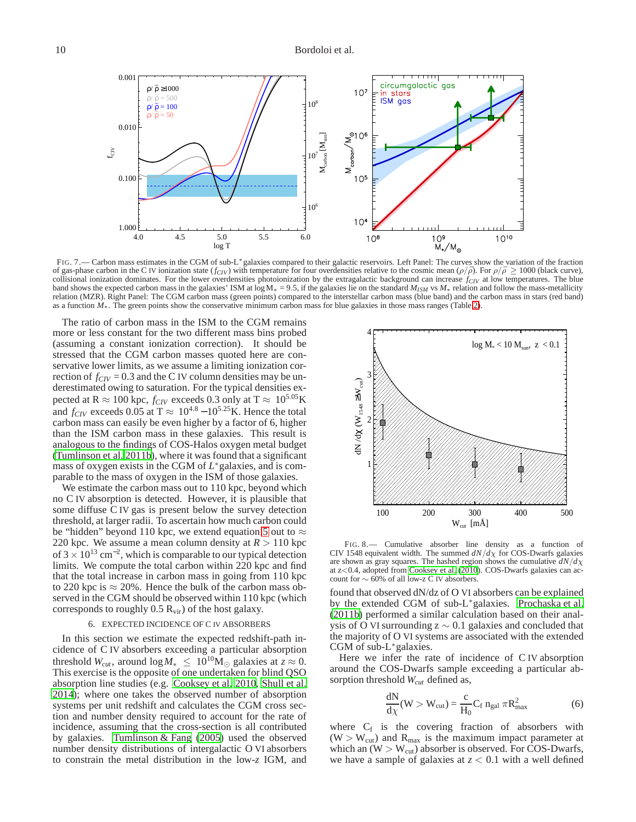

<span id="page-9-0"></span>FIG. 7.— Carbon mass estimates in the CGM of sub-L\*galaxies compared to their galactic reservoirs. Left Panel: The curves show the variation of the fraction of gas-phase carbon in the C IV ionization state  $(f_{CIV})$  with temperature for four overdensities relative to the cosmic mean  $(\rho/\bar{\rho})$ . For  $\rho/\bar{\rho} \ge 1000$  (black curve), collisional ionization dominates. For the lower overdensities photoionization by the extragalactic background can increase  $f_{CIV}$  at low temperatures. The blue band shows the expected carbon mass in the galaxies' ISM at log M<sup>∗</sup> = 9.5, if the galaxies lie on the standard *MISM* vs *M*<sup>∗</sup> relation and follow the mass-metallicity relation (MZR). Right Panel: The CGM carbon mass (green points) compared to the interstellar carbon mass (blue band) and the carbon mass in stars (red band) as a function *M*∗. The green points show the conservative minimum carbon mass for blue galaxies in those mass ranges (Table [2\)](#page-15-1).

The ratio of carbon mass in the ISM to the CGM remains more or less constant for the two different mass bins probed (assuming a constant ionization correction). It should be stressed that the CGM carbon masses quoted here are conservative lower limits, as we assume a limiting ionization correction of  $f_{CIV} = 0.3$  and the C IV column densities may be underestimated owing to saturation. For the typical densities expected at R  $\approx 100$  kpc,  $f_{CIV}$  exceeds 0.3 only at T  $\approx 10^{5.05} \text{K}$ and  $f_{CIV}$  exceeds 0.05 at T  $\approx 10^{4.8} - 10^{5.25}$ K. Hence the total carbon mass can easily be even higher by a factor of 6, higher than the ISM carbon mass in these galaxies. This result is analogous to the findings of COS-Halos oxygen metal budget [\(Tumlinson et al. 2011b\)](#page-14-12), where it was found that a significant mass of oxygen exists in the CGM of *L*<sup>∗</sup>galaxies, and is comparable to the mass of oxygen in the ISM of those galaxies.

We estimate the carbon mass out to 110 kpc, beyond which no C IV absorption is detected. However, it is plausible that some diffuse C IV gas is present below the survey detection threshold, at larger radii. To ascertain how much carbon could be "hidden" beyond 110 kpc, we extend equation [5](#page-8-0) out to  $\approx$ 220 kpc. We assume a mean column density at  $R > 110$  kpc of 3  $\times$  10<sup>13</sup> cm<sup>-2</sup>, which is comparable to our typical detection limits. We compute the total carbon within 220 kpc and find that the total increase in carbon mass in going from 110 kpc to 220 kpc is  $\approx$  20%. Hence the bulk of the carbon mass observed in the CGM should be observed within 110 kpc (which corresponds to roughly  $0.5 R_{\rm vir}$ ) of the host galaxy.

### 6. EXPECTED INCIDENCE OF C IV ABSORBERS

In this section we estimate the expected redshift-path incidence of C IV absorbers exceeding a particular absorption threshold *W*<sub>*cut*</sub>, around  $\log M_* \leq 10^{10} \text{M}_{\odot}$  galaxies at  $z \approx 0$ . This exercise is the opposite of one undertaken for blind QSO absorption line studies (e.g. [Cooksey et al. 2010,](#page-14-21) [Shull et al.](#page-14-57) [2014\)](#page-14-57); where one takes the observed number of absorption systems per unit redshift and calculates the CGM cross section and number density required to account for the rate of incidence, assuming that the cross-section is all contributed by galaxies. [Tumlinson & Fang \(2005](#page-14-58)) used the observed number density distributions of intergalactic O VI absorbers to constrain the metal distribution in the low-*z* IGM, and



<span id="page-9-1"></span>FIG. 8.— Cumulative absorber line density as a function of CIV 1548 equivalent width. The summed  $dN/d\chi$  for COS-Dwarfs galaxies are shown as gray squares. The hashed region shows the cumulative  $dN/d\chi$ at z<0.4, adopted from [Cooksey et al. \(2010\)](#page-14-21). COS-Dwarfs galaxies can account for  $\sim$  60% of all low-z C IV absorbers.

found that observed dN/dz of O VI absorbers can be explained by the extended CGM of sub-L∗galaxies. [Prochaska et al.](#page-14-43) [\(2011b\)](#page-14-43) performed a similar calculation based on their analysis of O VI surrounding  $z \sim 0.1$  galaxies and concluded that the majority of O VI systems are associated with the extended CGM of sub-L∗galaxies.

Here we infer the rate of incidence of C IV absorption around the COS-Dwarfs sample exceeding a particular absorption threshold *Wcut* defined as,

$$
\frac{dN}{d\chi}(W > W_{\text{cut}}) = \frac{c}{H_0} C_f n_{\text{gal}} \pi R_{\text{max}}^2 \tag{6}
$$

where  $C_f$  is the covering fraction of absorbers with  $(W > W<sub>cut</sub>)$  and  $R<sub>max</sub>$  is the maximum impact parameter at which an  $(W > W_{cut})$  absorber is observed. For COS-Dwarfs, we have a sample of galaxies at *z* < 0.1 with a well defined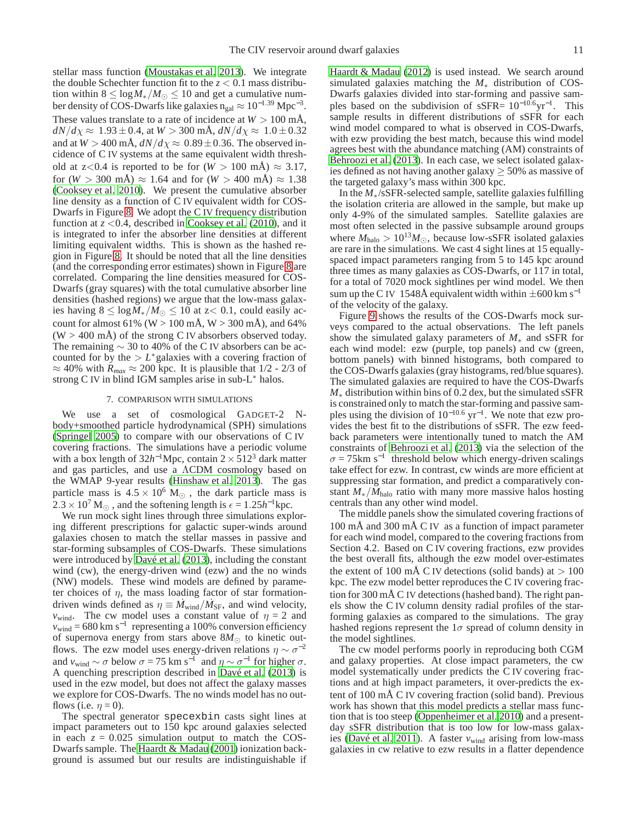stellar mass function [\(Moustakas et al. 2013](#page-14-59)). We integrate the double Schechter function fit to the  $z < 0.1$  mass distribution within  $8 \le \log M_*/M_{\odot} \le 10$  and get a cumulative number density of COS-Dwarfs like galaxies  $n_{gal} \approx 10^{-1.39}$  Mpc<sup>-3</sup>. These values translate to a rate of incidence at  $W > 100$  mÅ,  $dN/d\chi \approx 1.93 \pm 0.4$ , at  $W > 300$  mÅ,  $dN/d\chi \approx 1.0 \pm 0.32$ and at  $W > 400$  mÅ,  $dN/d\chi \approx 0.89 \pm 0.36$ . The observed incidence of C IV systems at the same equivalent width threshold at  $z < 0.4$  is reported to be for  $(W > 100 \text{ mA}) \approx 3.17$ , for  $(W > 300 \text{ mA}) \approx 1.64$  and for  $(W > 400 \text{ mA}) \approx 1.38$ [\(Cooksey et al. 2010\)](#page-14-21). We present the cumulative absorber line density as a function of C IV equivalent width for COS-Dwarfs in Figure [8.](#page-9-1) We adopt the C IV frequency distribution function at  $z \leq 0.4$ , described in [Cooksey et al.](#page-14-21) [\(2010\)](#page-14-21), and it is integrated to infer the absorber line densities at different limiting equivalent widths. This is shown as the hashed region in Figure [8.](#page-9-1) It should be noted that all the line densities (and the corresponding error estimates) shown in Figure [8](#page-9-1) are correlated. Comparing the line densities measured for COS-Dwarfs (gray squares) with the total cumulative absorber line densities (hashed regions) we argue that the low-mass galaxies having  $8 \le \log M_*/M_{\odot} \le 10$  at z< 0.1, could easily account for almost 61% (W > 100 mÅ, W > 300 mÅ), and 64%  $(W > 400$  mÅ) of the strong C IV absorbers observed today. The remaining  $\sim$  30 to 40% of the C IV absorbers can be accounted for by the  $>L^*$  galaxies with a covering fraction of  $\approx$  40% with  $R_{max} \approx$  200 kpc. It is plausible that 1/2 - 2/3 of strong C IV in blind IGM samples arise in sub-L<sup>∗</sup> halos.

### 7. COMPARISON WITH SIMULATIONS

We use a set of cosmological GADGET-2 Nbody+smoothed particle hydrodynamical (SPH) simulations [\(Springel 2005\)](#page-14-60) to compare with our observations of C IV covering fractions. The simulations have a periodic volume with a box length of  $32h^{-1}$ Mpc, contain  $2 \times 512^3$  dark matter and gas particles, and use a ΛCDM cosmology based on the WMAP 9-year results [\(Hinshaw et al. 2013\)](#page-14-61). The gas particle mass is  $4.5 \times 10^6$  M<sub>☉</sub>, the dark particle mass is  $2.3 \times 10^7$  M<sub>☉</sub>, and the softening length is  $\epsilon = 1.25h^{-1}$ kpc.

We run mock sight lines through three simulations exploring different prescriptions for galactic super-winds around galaxies chosen to match the stellar masses in passive and star-forming subsamples of COS-Dwarfs. These simulations were introduced by [Davé et al.](#page-14-62) [\(2013\)](#page-14-62), including the constant wind (cw), the energy-driven wind (ezw) and the no winds (NW) models. These wind models are defined by parameter choices of  $\eta$ , the mass loading factor of star formationdriven winds defined as  $\eta \equiv \dot{M}_{wind}/\dot{M}_{SF}$ , and wind velocity, *v*<sub>wind</sub>. The cw model uses a constant value of  $\eta = 2$  and  $v_{wind} = 680 \text{ km s}^{-1}$  representing a 100% conversion efficiency of supernova energy from stars above  $8M_{\odot}$  to kinetic outflows. The ezw model uses energy-driven relations  $\eta \sim \sigma^{-2}$ and  $v_{wind} \sim \sigma$  below  $\sigma = 75 \text{ km s}^{-1}$  and  $\eta \sim \sigma^{-1}$  for higher  $\sigma$ . A quenching prescription described in [Davé et al. \(2013\)](#page-14-62) is used in the ezw model, but does not affect the galaxy masses we explore for COS-Dwarfs. The no winds model has no outflows (i.e.  $\eta = 0$ ).

The spectral generator specexbin casts sight lines at impact parameters out to 150 kpc around galaxies selected in each  $z = 0.025$  simulation output to match the COS-Dwarfs sample. The [Haardt & Madau \(2001\)](#page-14-63) ionization background is assumed but our results are indistinguishable if [Haardt & Madau \(2012\)](#page-14-64) is used instead. We search around simulated galaxies matching the *M*<sup>∗</sup> distribution of COS-Dwarfs galaxies divided into star-forming and passive samples based on the subdivision of sSFR=  $10^{-10.6}$ yr<sup>-1</sup>. This sample results in different distributions of sSFR for each wind model compared to what is observed in COS-Dwarfs, with ezw providing the best match, because this wind model agrees best with the abundance matching (AM) constraints of [Behroozi et al.](#page-14-65) [\(2013\)](#page-14-65). In each case, we select isolated galaxies defined as not having another galaxy  $\geq$  50% as massive of the targeted galaxy's mass within 300 kpc.

In the *M*∗/sSFR-selected sample, satellite galaxies fulfilling the isolation criteria are allowed in the sample, but make up only 4-9% of the simulated samples. Satellite galaxies are most often selected in the passive subsample around groups where  $M_{halo} > 10^{13} M_{\odot}$ , because low-sSFR isolated galaxies are rare in the simulations. We cast 4 sight lines at 15 equallyspaced impact parameters ranging from 5 to 145 kpc around three times as many galaxies as COS-Dwarfs, or 117 in total, for a total of 7020 mock sightlines per wind model. We then sum up the C IV 1548Å equivalent width within  $\pm 600 \text{ km s}^{-1}$ of the velocity of the galaxy.

Figure [9](#page-11-0) shows the results of the COS-Dwarfs mock surveys compared to the actual observations. The left panels show the simulated galaxy parameters of *M*<sup>∗</sup> and sSFR for each wind model: ezw (purple, top panels) and cw (green, bottom panels) with binned histograms, both compared to the COS-Dwarfs galaxies (gray histograms, red/blue squares). The simulated galaxies are required to have the COS-Dwarfs *M*<sup>∗</sup> distribution within bins of 0.2 dex, but the simulated sSFR is constrained only to match the star-forming and passive samples using the division of  $10^{-10.6}$  yr<sup>-1</sup>. We note that ezw provides the best fit to the distributions of sSFR. The ezw feedback parameters were intentionally tuned to match the AM constraints of [Behroozi et al. \(2013](#page-14-65)) via the selection of the  $\sigma$  = 75km s<sup>-1</sup> threshold below which energy-driven scalings take effect for ezw. In contrast, cw winds are more efficient at suppressing star formation, and predict a comparatively constant *M*∗/*M*halo ratio with many more massive halos hosting centrals than any other wind model.

The middle panels show the simulated covering fractions of 100 mÅ and 300 mÅ C IV as a function of impact parameter for each wind model, compared to the covering fractions from Section 4.2. Based on C IV covering fractions, ezw provides the best overall fits, although the ezw model over-estimates the extent of 100 mÅ C IV detections (solid bands) at  $> 100$ kpc. The ezw model better reproduces the C IV covering fraction for 300 mÅ C IV detections (hashed band). The right panels show the C IV column density radial profiles of the starforming galaxies as compared to the simulations. The gray hashed regions represent the  $1\sigma$  spread of column density in the model sightlines.

The cw model performs poorly in reproducing both CGM and galaxy properties. At close impact parameters, the cw model systematically under predicts the C IV covering fractions and at high impact parameters, it over-predicts the extent of 100 mÅ C IV covering fraction (solid band). Previous work has shown that this model predicts a stellar mass function that is too steep [\(Oppenheimer et al. 2010\)](#page-14-66) and a presentday sSFR distribution that is too low for low-mass galax-ies [\(Davé et al. 2011\)](#page-14-67). A faster  $v_{wind}$  arising from low-mass galaxies in cw relative to ezw results in a flatter dependence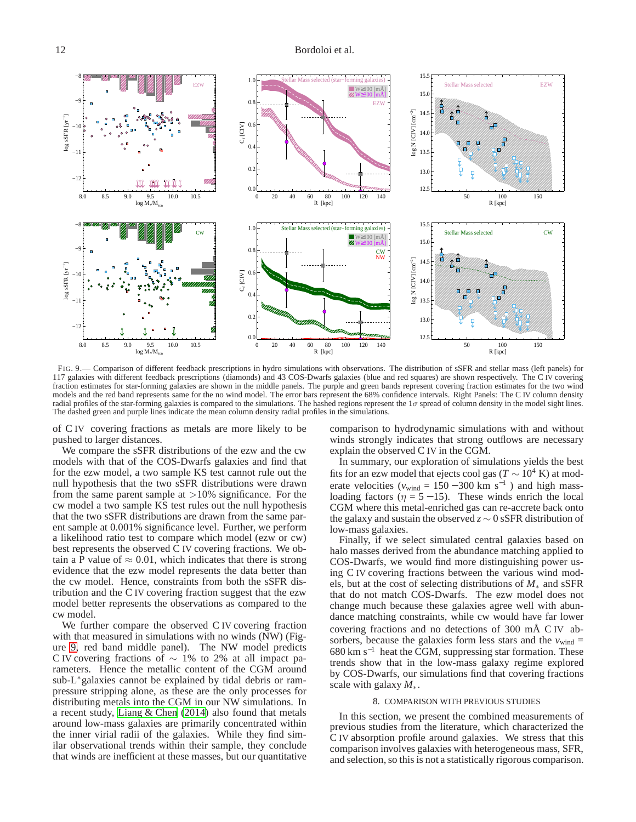

<span id="page-11-0"></span>FIG. 9.— Comparison of different feedback prescriptions in hydro simulations with observations. The distribution of sSFR and stellar mass (left panels) for 117 galaxies with different feedback prescriptions (diamonds) and 43 COS-Dwarfs galaxies (blue and red squares) are shown respectively. The C IV covering fraction estimates for star-forming galaxies are shown in the middle panels. The purple and green bands represent covering fraction estimates for the two wind models and the red band represents same for the no wind model. The error bars represent the 68% confidence intervals. Right Panels: The C IV column density radial profiles of the star-forming galaxies is compared to the simulations. The hashed regions represent the  $1\sigma$  spread of column density in the model sight lines. The dashed green and purple lines indicate the mean column density radial profiles in the simulations.

of C IV covering fractions as metals are more likely to be pushed to larger distances.

We compare the sSFR distributions of the ezw and the cw models with that of the COS-Dwarfs galaxies and find that for the ezw model, a two sample KS test cannot rule out the null hypothesis that the two sSFR distributions were drawn from the same parent sample at  $>10\%$  significance. For the cw model a two sample KS test rules out the null hypothesis that the two sSFR distributions are drawn from the same parent sample at 0.001% significance level. Further, we perform a likelihood ratio test to compare which model (ezw or cw) best represents the observed C IV covering fractions. We obtain a P value of  $\approx 0.01$ , which indicates that there is strong evidence that the ezw model represents the data better than the cw model. Hence, constraints from both the sSFR distribution and the C IV covering fraction suggest that the ezw model better represents the observations as compared to the cw model.

We further compare the observed C IV covering fraction with that measured in simulations with no winds (NW) (Figure [9,](#page-11-0) red band middle panel). The NW model predicts C IV covering fractions of  $\sim$  1% to 2% at all impact parameters. Hence the metallic content of the CGM around sub-L∗galaxies cannot be explained by tidal debris or rampressure stripping alone, as these are the only processes for distributing metals into the CGM in our NW simulations. In a recent study, [Liang & Chen](#page-14-42) [\(2014\)](#page-14-42) also found that metals around low-mass galaxies are primarily concentrated within the inner virial radii of the galaxies. While they find similar observational trends within their sample, they conclude that winds are inefficient at these masses, but our quantitative comparison to hydrodynamic simulations with and without winds strongly indicates that strong outflows are necessary explain the observed C IV in the CGM.

In summary, our exploration of simulations yields the best fits for an ezw model that ejects cool gas ( $T \sim 10^4$  K) at moderate velocities ( $v_{wind} = 150 - 300$  km s<sup>-1</sup>) and high massloading factors ( $\eta = 5 - 15$ ). These winds enrich the local CGM where this metal-enriched gas can re-accrete back onto the galaxy and sustain the observed *z* ∼ 0 sSFR distribution of low-mass galaxies.

Finally, if we select simulated central galaxies based on halo masses derived from the abundance matching applied to COS-Dwarfs, we would find more distinguishing power using C IV covering fractions between the various wind models, but at the cost of selecting distributions of *M*<sup>∗</sup> and sSFR that do not match COS-Dwarfs. The ezw model does not change much because these galaxies agree well with abundance matching constraints, while cw would have far lower covering fractions and no detections of 300 mÅ C IV absorbers, because the galaxies form less stars and the  $v_{wind}$  =  $680 \text{ km s}^{-1}$  heat the CGM, suppressing star formation. These trends show that in the low-mass galaxy regime explored by COS-Dwarfs, our simulations find that covering fractions scale with galaxy *M*∗.

### 8. COMPARISON WITH PREVIOUS STUDIES

In this section, we present the combined measurements of previous studies from the literature, which characterized the C IV absorption profile around galaxies. We stress that this comparison involves galaxies with heterogeneous mass, SFR, and selection, so this is not a statistically rigorous comparison.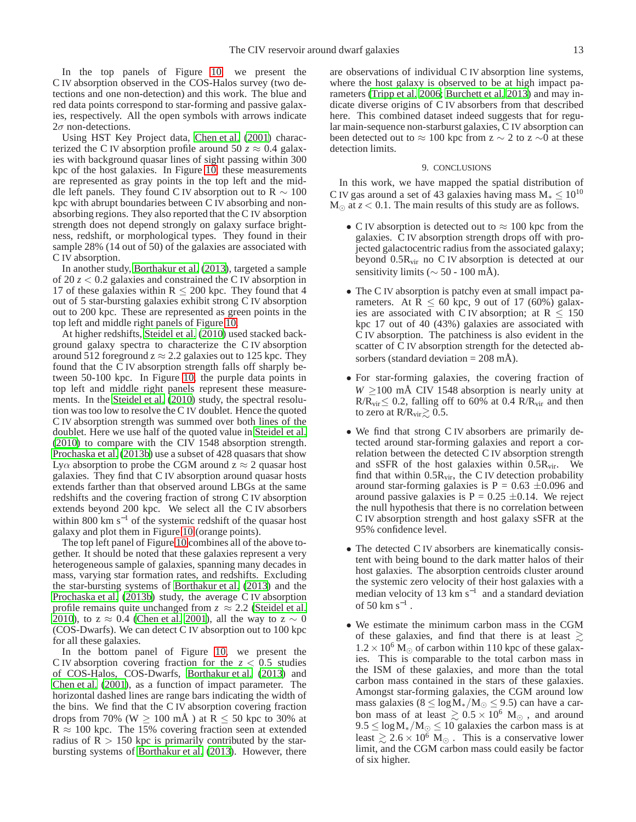In the top panels of Figure [10,](#page-13-0) we present the C IV absorption observed in the COS-Halos survey (two detections and one non-detection) and this work. The blue and red data points correspond to star-forming and passive galaxies, respectively. All the open symbols with arrows indicate  $2\sigma$  non-detections.

Using HST Key Project data, [Chen et al. \(2001](#page-14-25)) characterized the C IV absorption profile around 50  $z \approx 0.4$  galaxies with background quasar lines of sight passing within 300 kpc of the host galaxies. In Figure [10,](#page-13-0) these measurements are represented as gray points in the top left and the middle left panels. They found C IV absorption out to R  $\sim 100$ kpc with abrupt boundaries between C IV absorbing and nonabsorbing regions. They also reported that the C IV absorption strength does not depend strongly on galaxy surface brightness, redshift, or morphological types. They found in their sample 28% (14 out of 50) of the galaxies are associated with C IV absorption.

In another study, [Borthakur et al. \(2013](#page-14-26)), targeted a sample of 20  $z < 0.2$  galaxies and constrained the C IV absorption in 17 of these galaxies within  $R \le 200$  kpc. They found that 4 out of 5 star-bursting galaxies exhibit strong C IV absorption out to 200 kpc. These are represented as green points in the top left and middle right panels of Figure [10.](#page-13-0)

At higher redshifts, [Steidel et al.](#page-14-31) [\(2010\)](#page-14-31) used stacked background galaxy spectra to characterize the C IV absorption around 512 foreground  $z \approx 2.2$  galaxies out to 125 kpc. They found that the C IV absorption strength falls off sharply between 50-100 kpc. In Figure [10,](#page-13-0) the purple data points in top left and middle right panels represent these measurements. In the [Steidel et al. \(2010\)](#page-14-31) study, the spectral resolution was too low to resolve the C IV doublet. Hence the quoted C IV absorption strength was summed over both lines of the doublet. Here we use half of the quoted value in [Steidel et al.](#page-14-31) [\(2010](#page-14-31)) to compare with the CIV 1548 absorption strength. [Prochaska et al. \(2013b\)](#page-14-68) use a subset of 428 quasars that show Ly $\alpha$  absorption to probe the CGM around  $z \approx 2$  quasar host galaxies. They find that C IV absorption around quasar hosts extends farther than that observed around LBGs at the same redshifts and the covering fraction of strong C IV absorption extends beyond 200 kpc. We select all the C IV absorbers within 800 km s<sup>-1</sup> of the systemic redshift of the quasar host galaxy and plot them in Figure [10](#page-13-0) (orange points).

The top left panel of Figure [10](#page-13-0) combines all of the above together. It should be noted that these galaxies represent a very heterogeneous sample of galaxies, spanning many decades in mass, varying star formation rates, and redshifts. Excluding the star-bursting systems of [Borthakur et al.](#page-14-26) [\(2013\)](#page-14-26) and the [Prochaska et al. \(2013b\)](#page-14-68) study, the average C IV absorption profile remains quite unchanged from  $z \approx 2.2$  [\(Steidel et al.](#page-14-31) [2010\)](#page-14-31), to z  $\approx$  0.4 [\(Chen et al. 2001\)](#page-14-25), all the way to z  $\sim$  0 (COS-Dwarfs). We can detect C IV absorption out to 100 kpc for all these galaxies.

In the bottom panel of Figure [10,](#page-13-0) we present the C IV absorption covering fraction for the  $z < 0.5$  studies of COS-Halos, COS-Dwarfs, [Borthakur et al. \(2013\)](#page-14-26) and [Chen et al.](#page-14-25) [\(2001\)](#page-14-25), as a function of impact parameter. The horizontal dashed lines are range bars indicating the width of the bins. We find that the C IV absorption covering fraction drops from 70% (W  $\geq$  100 mÅ) at R  $\leq$  50 kpc to 30% at  $R \approx 100$  kpc. The 15% covering fraction seen at extended radius of  $R > 150$  kpc is primarily contributed by the starbursting systems of [Borthakur et al. \(2013\)](#page-14-26). However, there are observations of individual C IV absorption line systems, where the host galaxy is observed to be at high impact parameters [\(Tripp et al. 2006](#page-14-27); [Burchett et al. 2013](#page-14-28)) and may indicate diverse origins of C IV absorbers from that described here. This combined dataset indeed suggests that for regular main-sequence non-starburst galaxies, C IV absorption can been detected out to  $\approx 100$  kpc from z  $\sim 2$  to z  $\sim 0$  at these detection limits.

## 9. CONCLUSIONS

In this work, we have mapped the spatial distribution of C IV gas around a set of 43 galaxies having mass  $M_* \leq 10^{10}$  $M_{\odot}$  at  $z < 0.1$ . The main results of this study are as follows.

- C IV absorption is detected out to  $\approx 100$  kpc from the galaxies. C IV absorption strength drops off with projected galactocentric radius from the associated galaxy; beyond 0.5Rvir no C IV absorption is detected at our sensitivity limits ( $\sim$  50 - 100 mÅ).
- The C IV absorption is patchy even at small impact parameters. At  $R \le 60$  kpc, 9 out of 17 (60%) galaxies are associated with C IV absorption; at  $R \le 150$ kpc 17 out of 40 (43%) galaxies are associated with C IV absorption. The patchiness is also evident in the scatter of C IV absorption strength for the detected absorbers (standard deviation  $= 208$  mÅ).
- For star-forming galaxies, the covering fraction of  $W \ge 100$  mÅ CIV 1548 absorption is nearly unity at  $R/R_{\text{vir}}$  ≤ 0.2, falling off to 60% at 0.4 R/R<sub>vir</sub> and then to zero at  $R/R_{\text{vir}} \gtrsim 0.5$ .
- We find that strong C IV absorbers are primarily detected around star-forming galaxies and report a correlation between the detected C IV absorption strength and sSFR of the host galaxies within  $0.5R_{vir}$ . We find that within  $0.5R_{\text{vir}}$ , the C IV detection probability around star-forming galaxies is  $P = 0.63 \pm 0.096$  and around passive galaxies is  $P = 0.25 \pm 0.14$ . We reject the null hypothesis that there is no correlation between C IV absorption strength and host galaxy sSFR at the 95% confidence level.
- The detected C IV absorbers are kinematically consistent with being bound to the dark matter halos of their host galaxies. The absorption centroids cluster around the systemic zero velocity of their host galaxies with a median velocity of 13 km s<sup>-1</sup> and a standard deviation of 50 km  $s^{-1}$  .
- We estimate the minimum carbon mass in the CGM of these galaxies, and find that there is at least  $\gtrsim$  $1.2 \times 10^6$  M<sub>☉</sub> of carbon within 110 kpc of these galaxies. This is comparable to the total carbon mass in the ISM of these galaxies, and more than the total carbon mass contained in the stars of these galaxies. Amongst star-forming galaxies, the CGM around low mass galaxies ( $8 \le \log M_*/M_{\odot} \le 9.5$ ) can have a carbon mass of at least  $\gtrsim 0.5 \times 10^6$  M<sub>☉</sub>, and around  $9.5 \le \log M_*/M_{\odot} \le 10$  galaxies the carbon mass is at least  $\geq 2.6 \times 10^6$  M<sub> $\odot$ </sub>. This is a conservative lower limit, and the CGM carbon mass could easily be factor of six higher.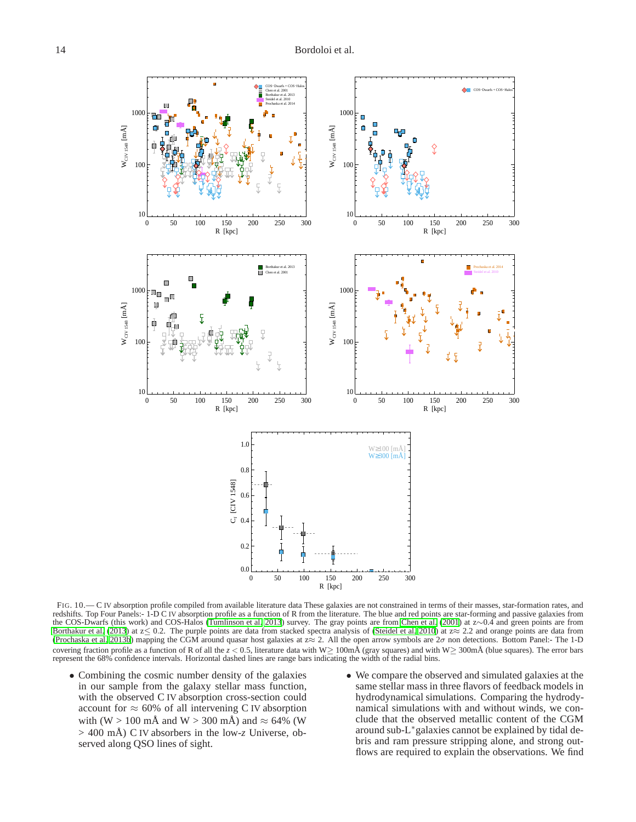

<span id="page-13-0"></span>FIG. 10.— C IV absorption profile compiled from available literature data These galaxies are not constrained in terms of their masses, star-formation rates, and redshifts. Top Four Panels:- 1-D C IV absorption profile as a function of R from the literature. The blue and red points are star-forming and passive galaxies from the COS-Dwarfs (this work) and COS-Halos [\(Tumlinson et al. 2013](#page-14-3)) survey. The gray points are from [Chen et al. \(2001\)](#page-14-25) at z∼0.4 and green points are from [Borthakur et al. \(2013\)](#page-14-26) at  $z \le 0.2$ . The purple points are data from stacked spectra analysis of [\(Steidel et al. 2010](#page-14-31)) at  $z \approx 2.2$  and orange points are data from [\(Prochaska et al. 2013b\)](#page-14-68) mapping the CGM around quasar host galaxies at z≈ 2. All the open arrow symbols are 2σ non detections. Bottom Panel:- The 1-D covering fraction profile as a function of R of all the *z* < 0.5, literature data with W≥ 100mÅ (gray squares) and with W≥ 300mÅ (blue squares). The error bars represent the 68% confidence intervals. Horizontal dashed lines are range bars indicating the width of the radial bins.

- Combining the cosmic number density of the galaxies in our sample from the galaxy stellar mass function, with the observed C IV absorption cross-section could account for  $\approx 60\%$  of all intervening C IV absorption with (W > 100 mÅ and W > 300 mÅ) and  $\approx$  64% (W > 400 mÅ) C IV absorbers in the low-*z* Universe, observed along QSO lines of sight.
- We compare the observed and simulated galaxies at the same stellar mass in three flavors of feedback models in hydrodynamical simulations. Comparing the hydrodynamical simulations with and without winds, we conclude that the observed metallic content of the CGM around sub-L<sup>∗</sup>galaxies cannot be explained by tidal debris and ram pressure stripping alone, and strong outflows are required to explain the observations. We find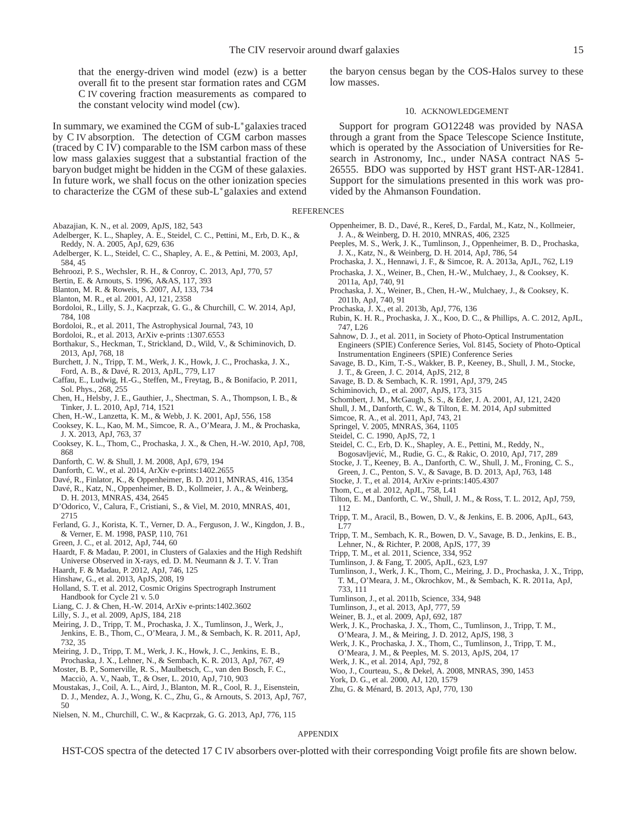that the energy-driven wind model (ezw) is a better overall fit to the present star formation rates and CGM C IV covering fraction measurements as compared to the constant velocity wind model (cw).

In summary, we examined the CGM of sub-L∗galaxies traced by C IV absorption. The detection of CGM carbon masses (traced by C IV) comparable to the ISM carbon mass of these low mass galaxies suggest that a substantial fraction of the baryon budget might be hidden in the CGM of these galaxies. In future work, we shall focus on the other ionization species to characterize the CGM of these sub-L∗galaxies and extend

- <span id="page-14-16"></span>Abazajian, K. N., et al. 2009, ApJS, 182, 543
- <span id="page-14-30"></span>Adelberger, K. L., Shapley, A. E., Steidel, C. C., Pettini, M., Erb, D. K., & Reddy, N. A. 2005, ApJ, 629, 636
- <span id="page-14-29"></span>Adelberger, K. L., Steidel, C. C., Shapley, A. E., & Pettini, M. 2003, ApJ, 584, 45
- <span id="page-14-65"></span>Behroozi, P. S., Wechsler, R. H., & Conroy, C. 2013, ApJ, 770, 57
- <span id="page-14-48"></span>Bertin, E. & Arnouts, S. 1996, A&AS, 117, 393
- <span id="page-14-35"></span>Blanton, M. R. & Roweis, S. 2007, AJ, 133, 734
- <span id="page-14-69"></span>Blanton, M. R., et al. 2001, AJ, 121, 2358
- <span id="page-14-49"></span>Bordoloi, R., Lilly, S. J., Kacprzak, G. G., & Churchill, C. W. 2014, ApJ, 784, 108
- <span id="page-14-5"></span>Bordoloi, R., et al. 2011, The Astrophysical Journal, 743, 10
- <span id="page-14-53"></span>Bordoloi, R., et al. 2013, ArXiv e-prints :1307.6553
- <span id="page-14-26"></span>Borthakur, S., Heckman, T., Strickland, D., Wild, V., & Schiminovich, D. 2013, ApJ, 768, 18
- <span id="page-14-28"></span>Burchett, J. N., Tripp, T. M., Werk, J. K., Howk, J. C., Prochaska, J. X., Ford, A. B., & Davé, R. 2013, ApJL, 779, L17
- <span id="page-14-56"></span>Caffau, E., Ludwig, H.-G., Steffen, M., Freytag, B., & Bonifacio, P. 2011, Sol. Phys., 268, 255
- <span id="page-14-6"></span>Chen, H., Helsby, J. E., Gauthier, J., Shectman, S. A., Thompson, I. B., & Tinker, J. L. 2010, ApJ, 714, 1521
- <span id="page-14-25"></span>Chen, H.-W., Lanzetta, K. M., & Webb, J. K. 2001, ApJ, 556, 158
- <span id="page-14-22"></span>Cooksey, K. L., Kao, M. M., Simcoe, R. A., O'Meara, J. M., & Prochaska,
- <span id="page-14-21"></span>J. X. 2013, ApJ, 763, 37 Cooksey, K. L., Thom, C., Prochaska, J. X., & Chen, H.-W. 2010, ApJ, 708,
- 868
- <span id="page-14-18"></span>Danforth, C. W. & Shull, J. M. 2008, ApJ, 679, 194
- <span id="page-14-24"></span>Danforth, C. W., et al. 2014, ArXiv e-prints:1402.2655
- <span id="page-14-67"></span>Davé, R., Finlator, K., & Oppenheimer, B. D. 2011, MNRAS, 416, 1354
- <span id="page-14-62"></span>Davé, R., Katz, N., Oppenheimer, B. D., Kollmeier, J. A., & Weinberg, D. H. 2013, MNRAS, 434, 2645
- <span id="page-14-19"></span>D'Odorico, V., Calura, F., Cristiani, S., & Viel, M. 2010, MNRAS, 401, 2715
- <span id="page-14-54"></span>Ferland, G. J., Korista, K. T., Verner, D. A., Ferguson, J. W., Kingdon, J. B., & Verner, E. M. 1998, PASP, 110, 761
- <span id="page-14-2"></span>Green, J. C., et al. 2012, ApJ, 744, 60
- <span id="page-14-63"></span>Haardt, F. & Madau, P. 2001, in Clusters of Galaxies and the High Redshift Universe Observed in X-rays, ed. D. M. Neumann & J. T. V. Tran
- <span id="page-14-64"></span>Haardt, F. & Madau, P. 2012, ApJ, 746, 125
- <span id="page-14-61"></span>Hinshaw, G., et al. 2013, ApJS, 208, 19
- <span id="page-14-40"></span>Holland, S. T. et al. 2012, Cosmic Origins Spectrograph Instrument Handbook for Cycle 21 v. 5.0
- <span id="page-14-42"></span>Liang, C. J. & Chen, H.-W. 2014, ArXiv e-prints:1402.3602
- <span id="page-14-1"></span>Lilly, S. J., et al. 2009, ApJS, 184, 218
- <span id="page-14-37"></span>Meiring, J. D., Tripp, T. M., Prochaska, J. X., Tumlinson, J., Werk, J., Jenkins, E. B., Thom, C., O'Meara, J. M., & Sembach, K. R. 2011, ApJ, 732, 35
- <span id="page-14-46"></span>Meiring, J. D., Tripp, T. M., Werk, J. K., Howk, J. C., Jenkins, E. B.,
- Prochaska, J. X., Lehner, N., & Sembach, K. R. 2013, ApJ, 767, 49 Moster, B. P., Somerville, R. S., Maulbetsch, C., van den Bosch, F. C.,
- <span id="page-14-36"></span>Macciò, A. V., Naab, T., & Oser, L. 2010, ApJ, 710, 903
- <span id="page-14-59"></span>Moustakas, J., Coil, A. L., Aird, J., Blanton, M. R., Cool, R. J., Eisenstein, D. J., Mendez, A. J., Wong, K. C., Zhu, G., & Arnouts, S. 2013, ApJ, 767, 50
- <span id="page-14-50"></span>Nielsen, N. M., Churchill, C. W., & Kacprzak, G. G. 2013, ApJ, 776, 115

the baryon census began by the COS-Halos survey to these low masses.

#### 10. ACKNOWLEDGEMENT

Support for program GO12248 was provided by NASA through a grant from the Space Telescope Science Institute, which is operated by the Association of Universities for Research in Astronomy, Inc., under NASA contract NAS 5- 26555. BDO was supported by HST grant HST-AR-12841. Support for the simulations presented in this work was provided by the Ahmanson Foundation.

**REFERENCES** 

- <span id="page-14-66"></span>Oppenheimer, B. D., Davé, R., Kereš, D., Fardal, M., Katz, N., Kollmeier, J. A., & Weinberg, D. H. 2010, MNRAS, 406, 2325
- <span id="page-14-14"></span>Peeples, M. S., Werk, J. K., Tumlinson, J., Oppenheimer, B. D., Prochaska, J. X., Katz, N., & Weinberg, D. H. 2014, ApJ, 786, 54
- <span id="page-14-32"></span>Prochaska, J. X., Hennawi, J. F., & Simcoe, R. A. 2013a, ApJL, 762, L19
- <span id="page-14-7"></span>Prochaska, J. X., Weiner, B., Chen, H.-W., Mulchaey, J., & Cooksey, K. 2011a, ApJ, 740, 91
- <span id="page-14-43"></span>Prochaska, J. X., Weiner, B., Chen, H.-W., Mulchaey, J., & Cooksey, K. 2011b, ApJ, 740, 91
- <span id="page-14-68"></span>Prochaska, J. X., et al. 2013b, ApJ, 776, 136
- <span id="page-14-52"></span>Rubin, K. H. R., Prochaska, J. X., Koo, D. C., & Phillips, A. C. 2012, ApJL, 747, L26
- <span id="page-14-39"></span>Sahnow, D. J., et al. 2011, in Society of Photo-Optical Instrumentation Engineers (SPIE) Conference Series, Vol. 8145, Society of Photo-Optical Instrumentation Engineers (SPIE) Conference Series
- <span id="page-14-47"></span>Savage, B. D., Kim, T.-S., Wakker, B. P., Keeney, B., Shull, J. M., Stocke, J. T., & Green, J. C. 2014, ApJS, 212, 8
- <span id="page-14-41"></span>Savage, B. D. & Sembach, K. R. 1991, ApJ, 379, 245
- <span id="page-14-34"></span>Schiminovich, D., et al. 2007, ApJS, 173, 315
- <span id="page-14-33"></span>Schombert, J. M., McGaugh, S. S., & Eder, J. A. 2001, AJ, 121, 2420
- <span id="page-14-57"></span>Shull, J. M., Danforth, C. W., & Tilton, E. M. 2014, ApJ submitted
- <span id="page-14-20"></span>Simcoe, R. A., et al. 2011, ApJ, 743, 21
- <span id="page-14-60"></span>Springel, V. 2005, MNRAS, 364, 1105
- <span id="page-14-17"></span>Steidel, C. C. 1990, ApJS, 72, 1
- <span id="page-14-31"></span>Steidel, C. C., Erb, D. K., Shapley, A. E., Pettini, M., Reddy, N., Bogosavljevic, M., Rudie, G. C., & Rakic, O. 2010, ApJ, 717, 289 ´
- <span id="page-14-4"></span>Stocke, J. T., Keeney, B. A., Danforth, C. W., Shull, J. M., Froning, C. S., Green, J. C., Penton, S. V., & Savage, B. D. 2013, ApJ, 763, 148
- <span id="page-14-10"></span>Stocke, J. T., et al. 2014, ArXiv e-prints:1405.4307
- <span id="page-14-15"></span>Thom, C., et al. 2012, ApJL, 758, L41
- <span id="page-14-23"></span>Tilton, E. M., Danforth, C. W., Shull, J. M., & Ross, T. L. 2012, ApJ, 759, 112
- <span id="page-14-27"></span>Tripp, T. M., Aracil, B., Bowen, D. V., & Jenkins, E. B. 2006, ApJL, 643, L77
- <span id="page-14-44"></span>Tripp, T. M., Sembach, K. R., Bowen, D. V., Savage, B. D., Jenkins, E. B., Lehner, N., & Richter, P. 2008, ApJS, 177, 39
- <span id="page-14-45"></span>Tripp, T. M., et al. 2011, Science, 334, 952
- <span id="page-14-58"></span>Tumlinson, J. & Fang, T. 2005, ApJL, 623, L97
- <span id="page-14-38"></span>Tumlinson, J., Werk, J. K., Thom, C., Meiring, J. D., Prochaska, J. X., Tripp, T. M., O'Meara, J. M., Okrochkov, M., & Sembach, K. R. 2011a, ApJ, 733, 111
- <span id="page-14-12"></span>Tumlinson, J., et al. 2011b, Science, 334, 948
- <span id="page-14-3"></span>Tumlinson, J., et al. 2013, ApJ, 777, 59
- <span id="page-14-51"></span>Weiner, B. J., et al. 2009, ApJ, 692, 187
- <span id="page-14-11"></span>Werk, J. K., Prochaska, J. X., Thom, C., Tumlinson, J., Tripp, T. M.,
- O'Meara, J. M., & Meiring, J. D. 2012, ApJS, 198, 3
- <span id="page-14-9"></span>Werk, J. K., Prochaska, J. X., Thom, C., Tumlinson, J., Tripp, T. M., O'Meara, J. M., & Peeples, M. S. 2013, ApJS, 204, 17
- <span id="page-14-13"></span>Werk, J. K., et al. 2014, ApJ, 792, 8
- <span id="page-14-55"></span>Woo, J., Courteau, S., & Dekel, A. 2008, MNRAS, 390, 1453
- <span id="page-14-0"></span>York, D. G., et al. 2000, AJ, 120, 1579
- <span id="page-14-8"></span>Zhu, G. & Ménard, B. 2013, ApJ, 770, 130
- APPENDIX

HST-COS spectra of the detected 17 C IV absorbers over-plotted with their corresponding Voigt profile fits are shown below.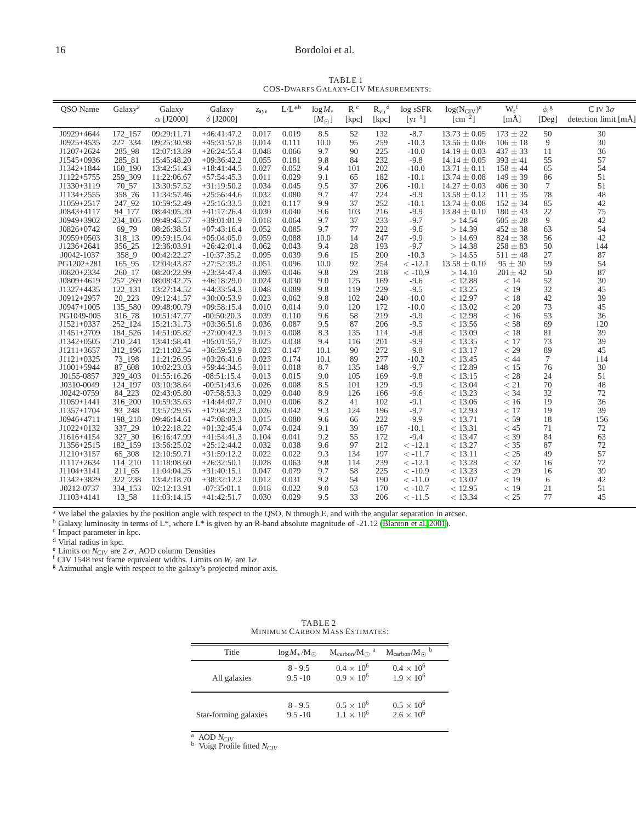# <span id="page-15-0"></span>16 Bordoloi et al.

TABLE 1 COS-DWARFS GALAXY-CIV MEASUREMENTS:

| QSO Name                 | Galaxy <sup>a</sup> | Galaxy                     | Galaxy                         | $z_{sys}$      | $L/L^{\ast b}$ | $log M_*$     | R <sup>c</sup> | $R_{\rm vir}^{\ d}$ | log sSFR                         | $log(N_{\text{CIV}})^e$    | $W_r$ <sup>f</sup>          | $\phi$ g        | C IV $3\sigma$       |
|--------------------------|---------------------|----------------------------|--------------------------------|----------------|----------------|---------------|----------------|---------------------|----------------------------------|----------------------------|-----------------------------|-----------------|----------------------|
|                          |                     | $\alpha$ [J2000]           | $\delta$ [J2000]               |                |                | $[M_{\odot}]$ | [kpc]          | [kpc]               | $\lceil \mathrm{vr}^{-1} \rceil$ | $[cm^{-2}]$                | [mÅ]                        | $[$ Deg $]$     | detection limit [mÅ] |
| $J0929+4644$             | 172 157             | 09:29:11.71                | $+46:41:47.2$                  | 0.017          | 0.019          | 8.5           | 52             | 132                 | $-8.7$                           | $13.73 \pm 0.05$           | $173 \pm 22$                | 50              | 30                   |
| $J0925+4535$             | 227 334             | 09:25:30.98                | $+45:31:57.8$                  | 0.014          | 0.111          | 10.0          | 95             | 259                 | $-10.3$                          | $13.56 \pm 0.06$           | $106 \pm 18$                | 9               | 30                   |
| $J1207+2624$             | 285 98              | 12:07:13.89                | $+26:24:55.4$                  | 0.048          | 0.066          | 9.7           | 90             | 225                 | $-10.0$                          | $14.19 \pm 0.03$           | $437 \pm 33$                | 11              | 36                   |
| J1545+0936               | 285 81              | 15:45:48.20                | $+09:36:42.2$                  | 0.055          | 0.181          | 9.8           | 84             | 232                 | $-9.8$                           | $14.14 \pm 0.05$           | $393 \pm 41$                | 55              | 57                   |
| J1342+1844               | 160 190             | 13:42:51.43                | $+18:41:44.5$                  | 0.027          | 0.052          | 9.4           | 101            | 202                 | $-10.0$                          | $13.71 \pm 0.11$           | $158 \pm 44$                | 65              | 54                   |
| $J1122+5755$             | 259 309             | 11:22:06.67                | $+57:54:45.3$                  | 0.011          | 0.029          | 9.1           | 65             | 182                 | $-10.1$                          | $13.74 \pm 0.08$           | $149 \pm 39$                | 86              | 51                   |
| J1330+3119               | 70 57               | 13:30:57.52                | $+31:19:50.2$                  | 0.034          | 0.045          | 9.5           | 37             | 206                 | $-10.1$                          | $14.27 \pm 0.03$           | $406 \pm 30$                | 7               | 51                   |
| J1134+2555               | 358 76              | 11:34:57.46                | $+25:56:44.6$                  | 0.032          | 0.080          | 9.7           | 47             | 224                 | $-9.9$                           | $13.58 \pm 0.12$           | $111 \pm 35$                | 78              | 48                   |
| J1059+2517               | 247 92              | 10:59:52.49                | $+25:16:33.5$                  | 0.021          | 0.117          | 9.9           | 37             | 252                 | $-10.1$                          | $13.74 \pm 0.08$           | $152 \pm 34$                | 85              | 42                   |
| $J0843+4117$             | 94 177              | 08:44:05.20                | $+41:17:26.4$                  | 0.030          | 0.040          | 9.6           | 103            | 216                 | $-9.9$                           | $13.84 \pm 0.10$           | $180 \pm 43$                | 22              | 75                   |
| J0949+3902               | 234 105             | 09:49:45.57                | $+39:01:01.9$                  | 0.018          | 0.064          | 9.7           | 37             | 233                 | $-9.7$                           | >14.54                     | $605 \pm 28$                | 9               | 42                   |
| J0826+0742               | 69 79               | 08:26:38.51                | $+07:43:16.4$                  | 0.052          | 0.085          | 9.7           | 77             | 222                 | $-9.6$                           | >14.39                     | $452 \pm 38$                | 63              | 54                   |
| $J0959+0503$             | 318_13              | 09:59:15.04                | $+05:04:05.0$                  | 0.059          | 0.088          | 10.0          | 14             | 247                 | $-9.9$                           | >14.69                     | $824 \pm 38$                | 56              | 42                   |
| J1236+2641               | 356 25              | 12:36:03.91<br>00:42:22.27 | $+26:42:01.4$                  | 0.062<br>0.095 | 0.043<br>0.039 | 9.4<br>9.6    | 28<br>15       | 193                 | $-9.7$                           | >14.38                     | $258 \pm 83$                | 50<br>27        | 144                  |
| J0042-1037<br>PG1202+281 | 358 9<br>165 95     | 12:04:43.87                | $-10:37:35.2$<br>$+27:52:39.2$ | 0.051          | 0.096          | 10.0          | 92             | 200<br>254          | $-10.3$<br>$< -12.1$             | >14.55<br>$13.58 \pm 0.10$ | $511 \pm 48$<br>$95 \pm 30$ | 59              | 87<br>54             |
| $J0820+2334$             | 260 17              | 08:20:22.99                | $+23:34:47.4$                  | 0.095          | 0.046          | 9.8           | 29             | 218                 | $< -10.9$                        | >14.10                     | $201 \pm 42$                | 50              | 87                   |
| J0809+4619               | 257 269             | 08:08:42.75                | $+46:18:29.0$                  | 0.024          | 0.030          | 9.0           | 125            | 169                 | $-9.6$                           | < 12.88                    | < 14                        | 52              | 30                   |
| J1327+4435               | 122 131             | 13:27:14.52                | $+44:33:54.3$                  | 0.048          | 0.089          | 9.8           | 119            | 229                 | $-9.5$                           | < 13.25                    | $<$ 19                      | 32              | 45                   |
| $J0912+2957$             | 20 223              | 09:12:41.57                | $+30:00:53.9$                  | 0.023          | 0.062          | 9.8           | 102            | 240                 | $-10.0$                          | < 12.97                    | < 18                        | 42              | 39                   |
| $J0947+1005$             | 135 580             | 09:48:00.79                | $+09:58:15.4$                  | 0.010          | 0.014          | 9.0           | 120            | 172                 | $-10.0$                          | < 13.02                    | < 20                        | 73              | 45                   |
| PG1049-005               | 316 78              | 10:51:47.77                | $-00:50:20.3$                  | 0.039          | 0.110          | 9.6           | 58             | 219                 | $-9.9$                           | < 12.98                    | < 16                        | 53              | 36                   |
| $J1521+0337$             | 252 124             | 15:21:31.73                | $+03:36:51.8$                  | 0.036          | 0.087          | 9.5           | 87             | 206                 | $-9.5$                           | < 13.56                    | $<$ 58                      | 69              | 120                  |
| $J1451+2709$             | 184 526             | 14:51:05.82                | $+27:00:42.3$                  | 0.013          | 0.008          | 8.3           | 135            | 114                 | $-9.8$                           | < 13.09                    | < 18                        | 81              | 39                   |
| $J1342+0505$             | 210 241             | 13:41:58.41                | $+05:01:55.7$                  | 0.025          | 0.038          | 9.4           | 116            | 201                 | $-9.9$                           | < 13.35                    | < 17                        | 73              | 39                   |
| $J1211+3657$             | 312 196             | 12:11:02.54                | $+36:59:53.9$                  | 0.023          | 0.147          | 10.1          | 90             | 272                 | $-9.8$                           | < 13.17                    | $<$ 29                      | 89              | 45                   |
| $J1121+0325$             | 73 198              | 11:21:26.95                | $+03:26:41.6$                  | 0.023          | 0.174          | 10.1          | 89             | 277                 | $-10.2$                          | < 13.45                    | < 44                        | $7\phantom{.0}$ | 114                  |
| $J1001+5944$             | 87 608              | 10:02:23.03                | $+59:44:34.5$                  | 0.011          | 0.018          | 8.7           | 135            | 148                 | $-9.7$                           | < 12.89                    | < 15                        | 76              | 30                   |
| J0155-0857               | 329 403             | 01:55:16.26                | $-08:51:15.4$                  | 0.013          | 0.015          | 9.0           | 105            | 169                 | $-9.8$                           | < 13.15                    | $<$ 28                      | 24              | 51                   |
| J0310-0049               | 124 197             | 03:10:38.64                | $-00:51:43.6$                  | 0.026          | 0.008          | 8.5           | 101            | 129                 | $-9.9$                           | < 13.04                    | < 21                        | 70              | 48                   |
| J0242-0759               | 84 223              | 02:43:05.80                | $-07:58:53.3$                  | 0.029          | 0.040          | 8.9           | 126            | 166                 | $-9.6$                           | < 13.23                    | $<$ 34                      | 32              | 72                   |
| J1059+1441               | 316 200             | 10:59:35.63                | $+14:44:07.7$                  | 0.010          | 0.006          | 8.2           | 41             | 102                 | $-9.1$                           | < 13.06                    | < 16                        | 19              | 36                   |
| $J1357+1704$             | 93_248              | 13:57:29.95                | $+17:04:29.2$                  | 0.026          | 0.042          | 9.3           | 124            | 196                 | $-9.7$                           | < 12.93                    | < 17                        | 19              | 39                   |
| $J0946+4711$             | 198_218             | 09:46:14.61                | $+47:08:03.3$                  | 0.015          | 0.080          | 9.6           | 66             | 222                 | $-9.9$                           | < 13.71                    | $<$ 59                      | 18              | 156                  |
| J1022+0132               | 337_29              | 10:22:18.22                | $+01:32:45.4$                  | 0.074          | 0.024          | 9.1           | 39             | 167                 | $-10.1$                          | < 13.31                    | $<$ 45                      | 71              | 72                   |
| J1616+4154               | 327 30              | 16:16:47.99                | $+41:54:41.3$                  | 0.104          | 0.041          | 9.2           | 55             | 172                 | $-9.4$                           | < 13.47                    | $<$ 39                      | 84              | 63                   |
| J1356+2515               | 182 159             | 13:56:25.02                | $+25:12:44.2$<br>$+31:59:12.2$ | 0.032<br>0.022 | 0.038          | 9.6<br>9.3    | 97<br>134      | 212<br>197          | $<-12.1$                         | < 13.27                    | $<$ 35<br>$<$ 25            | 87<br>49        | 72<br>57             |
| J1210+3157               | 65_308<br>114 210   | 12:10:59.71                | $+26:32:50.1$                  | 0.028          | 0.022<br>0.063 | 9.8           |                | 239                 | $< -11.7$<br>$<-12.1$            | < 13.11<br>< 13.28         | $<$ 32                      |                 | 72                   |
| J1117+2634<br>J1104+3141 |                     | 11:18:08.60                | $+31:40:15.1$                  | 0.047          | 0.079          | 9.7           | 114<br>58      | 225                 | $< -10.9$                        | < 13.23                    | $<$ 29                      | 16<br>16        | 39                   |
| J1342+3829               | 211 65<br>322 238   | 11:04:04.25<br>13:42:18.70 | $+38:32:12.2$                  | 0.012          | 0.031          | 9.2           | 54             | 190                 | $\,< -11.0$                      | < 13.07                    | < 19                        | 6               | 42                   |
| J0212-0737               | 334 153             | 02:12:13.91                | $-07:35:01.1$                  | 0.018          | 0.022          | 9.0           | 53             | 170                 | $< -10.7$                        | < 12.95                    | < 19                        | 21              | 51                   |
| J1103+4141               | 13 58               | 11:03:14.15                | $+41:42:51.7$                  | 0.030          | 0.029          | 9.5           | 33             | 206                 | $\leq -11.5$                     | < 13.34                    | $<$ 25                      | 77              | 45                   |
|                          |                     |                            |                                |                |                |               |                |                     |                                  |                            |                             |                 |                      |

<sup>a</sup> We label the galaxies by the position angle with respect to the QSO, N through E, and with the angular separation in arcsec.

<sup>b</sup> Galaxy luminosity in terms of L<sup>\*</sup>, where L<sup>\*</sup> is given by an R-band absolute magnitude of -21.12 [\(Blanton et al. 2001](#page-14-69)).<br><sup>c</sup> Impact parameter in kpc.

<sup>d</sup> Virial radius in kpc.

<sup>e</sup> Limits on *N<sub>CIV</sub>* are 2  $\sigma$ , AOD column Densities

f CIV 1548 rest frame equivalent widths. Limits on  $W_r$  are  $1\sigma$ .<br><sup>g</sup> Azimuthal angle with respect to the galaxy's projected minor axis.

<span id="page-15-1"></span>

| Title                 | $\log M_{*}/M_{\odot}$ | $M_{\rm carbon}/M_{\odot}$ <sup>a</sup> | $M_{\text{carbon}}/M_{\odot}$ <sup>b</sup> |
|-----------------------|------------------------|-----------------------------------------|--------------------------------------------|
| All galaxies          | $8 - 9.5$              | $0.4 \times 10^{6}$                     | $0.4 \times 10^{6}$                        |
|                       | $9.5 - 10$             | $0.9 \times 10^{6}$                     | $1.9 \times 10^{6}$                        |
| Star-forming galaxies | $8 - 9.5$              | $0.5 \times 10^{6}$                     | $0.5 \times 10^{6}$                        |
|                       | $9.5 - 10$             | $1.1 \times 10^{6}$                     | $2.6 \times 10^{6}$                        |

TABLE 2 MINIMUM CARBON MASS ESTIMATES:

 $^a$  AOD  $N_{CIV}$ 

<sup>b</sup> Voigt Profile fitted *NCIV*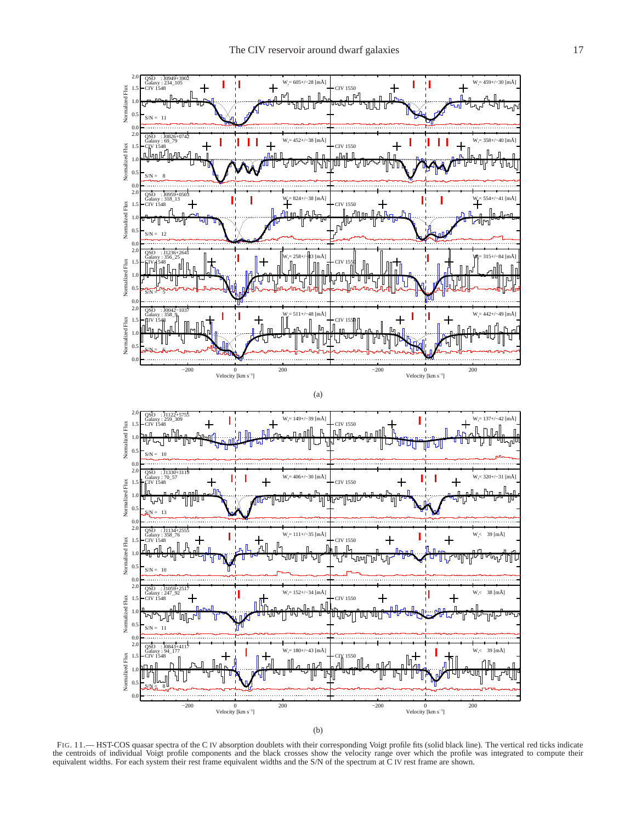

FIG. 11.— HST-COS quasar spectra of the C IV absorption doublets with their corresponding Voigt profile fits (solid black line). The vertical red ticks indicate the centroids of individual Voigt profile components and the black crosses show the velocity range over which the profile was integrated to compute their equivalent widths. For each system their rest frame equivalent widths and the S/N of the spectrum at C IV rest frame are shown.